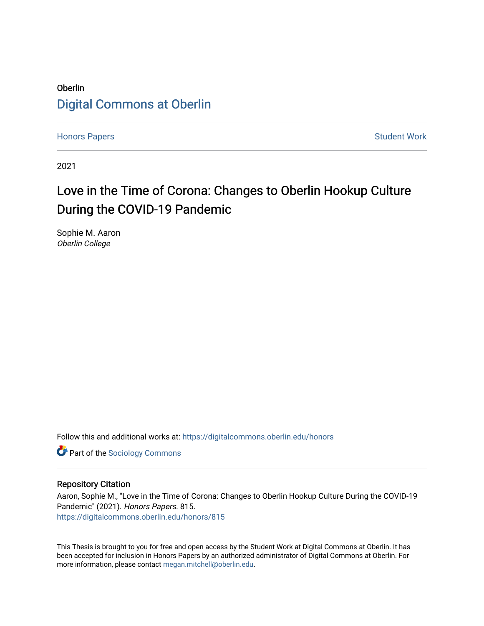## Oberlin [Digital Commons at Oberlin](https://digitalcommons.oberlin.edu/)

[Honors Papers](https://digitalcommons.oberlin.edu/honors) **Student Work** [Student Work](https://digitalcommons.oberlin.edu/students) **Student Work** Student Work **Student Work** 

2021

## Love in the Time of Corona: Changes to Oberlin Hookup Culture During the COVID-19 Pandemic

Sophie M. Aaron Oberlin College

Follow this and additional works at: [https://digitalcommons.oberlin.edu/honors](https://digitalcommons.oberlin.edu/honors?utm_source=digitalcommons.oberlin.edu%2Fhonors%2F815&utm_medium=PDF&utm_campaign=PDFCoverPages) 

**Part of the [Sociology Commons](http://network.bepress.com/hgg/discipline/416?utm_source=digitalcommons.oberlin.edu%2Fhonors%2F815&utm_medium=PDF&utm_campaign=PDFCoverPages)** 

#### Repository Citation

Aaron, Sophie M., "Love in the Time of Corona: Changes to Oberlin Hookup Culture During the COVID-19 Pandemic" (2021). Honors Papers. 815. [https://digitalcommons.oberlin.edu/honors/815](https://digitalcommons.oberlin.edu/honors/815?utm_source=digitalcommons.oberlin.edu%2Fhonors%2F815&utm_medium=PDF&utm_campaign=PDFCoverPages) 

This Thesis is brought to you for free and open access by the Student Work at Digital Commons at Oberlin. It has been accepted for inclusion in Honors Papers by an authorized administrator of Digital Commons at Oberlin. For more information, please contact [megan.mitchell@oberlin.edu.](mailto:megan.mitchell@oberlin.edu)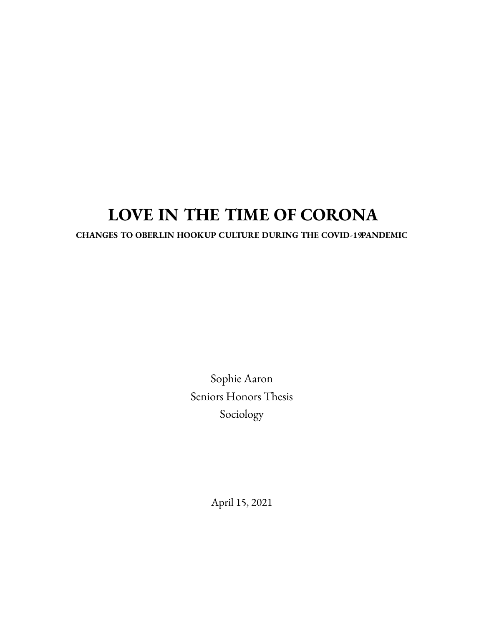# **LOVE IN THE TIME OF CORONA**

## **CHANGES TO OBERLIN HOOKUP CULTURE DURING THE COVID-19PANDEMIC**

Sophie Aaron Seniors Honors Thesis Sociology

April 15, 2021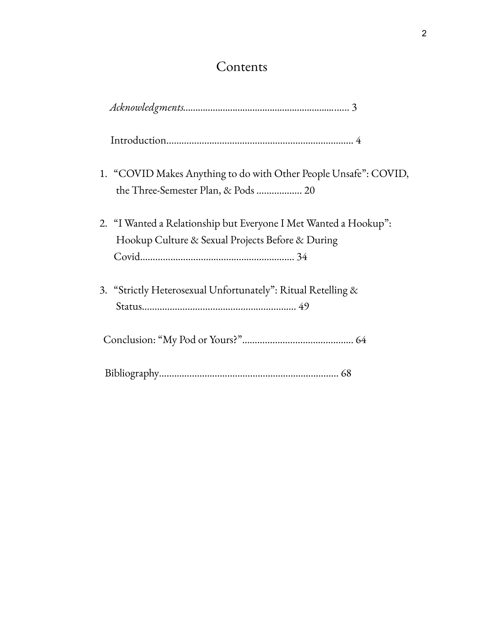## Contents

| 1. "COVID Makes Anything to do with Other People Unsafe": COVID,<br>the Three-Semester Plan, & Pods  20              |
|----------------------------------------------------------------------------------------------------------------------|
| 2. "I Wanted a Relationship but Everyone I Met Wanted a Hookup":<br>Hookup Culture & Sexual Projects Before & During |
| 3. "Strictly Heterosexual Unfortunately": Ritual Retelling &                                                         |
|                                                                                                                      |
|                                                                                                                      |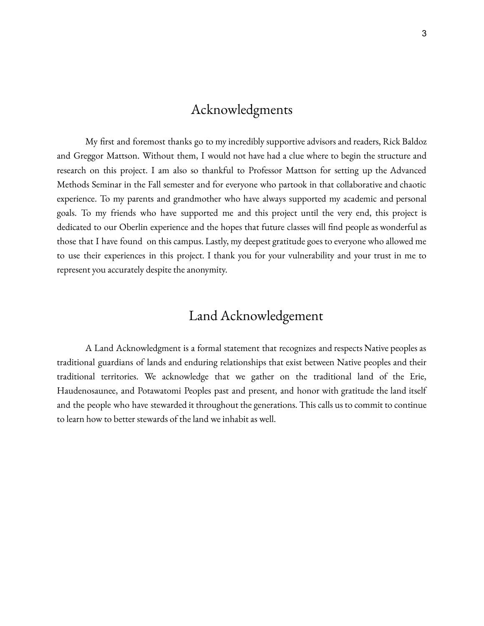## Acknowledgments

My first and foremost thanks go to my incredibly supportive advisors and readers, Rick Baldoz and Greggor Mattson. Without them, I would not have had a clue where to begin the structure and research on this project. I am also so thankful to Professor Mattson for setting up the Advanced Methods Seminar in the Fall semester and for everyone who partook in that collaborative and chaotic experience. To my parents and grandmother who have always supported my academic and personal goals. To my friends who have supported me and this project until the very end, this project is dedicated to our Oberlin experience and the hopes that future classes will find people as wonderful as those that I have found on this campus. Lastly, my deepest gratitude goes to everyone who allowed me to use their experiences in this project. I thank you for your vulnerability and your trust in me to represent you accurately despite the anonymity.

## Land Acknowledgement

A Land Acknowledgment is a formal statement that recognizes and respects Native peoples as traditional guardians of lands and enduring relationships that exist between Native peoples and their traditional territories. We acknowledge that we gather on the traditional land of the Erie, Haudenosaunee, and Potawatomi Peoples past and present, and honor with gratitude the land itself and the people who have stewarded it throughout the generations. This calls us to commit to continue to learn how to better stewards of the land we inhabit as well.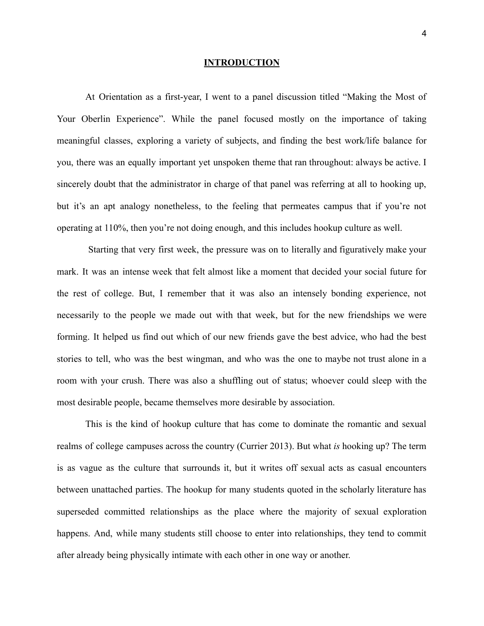#### **INTRODUCTION**

At Orientation as a first-year, I went to a panel discussion titled "Making the Most of Your Oberlin Experience". While the panel focused mostly on the importance of taking meaningful classes, exploring a variety of subjects, and finding the best work/life balance for you, there was an equally important yet unspoken theme that ran throughout: always be active. I sincerely doubt that the administrator in charge of that panel was referring at all to hooking up, but it's an apt analogy nonetheless, to the feeling that permeates campus that if you're not operating at 110%, then you're not doing enough, and this includes hookup culture as well.

Starting that very first week, the pressure was on to literally and figuratively make your mark. It was an intense week that felt almost like a moment that decided your social future for the rest of college. But, I remember that it was also an intensely bonding experience, not necessarily to the people we made out with that week, but for the new friendships we were forming. It helped us find out which of our new friends gave the best advice, who had the best stories to tell, who was the best wingman, and who was the one to maybe not trust alone in a room with your crush. There was also a shuffling out of status; whoever could sleep with the most desirable people, became themselves more desirable by association.

This is the kind of hookup culture that has come to dominate the romantic and sexual realms of college campuses across the country (Currier 2013). But what *is* hooking up? The term is as vague as the culture that surrounds it, but it writes off sexual acts as casual encounters between unattached parties. The hookup for many students quoted in the scholarly literature has superseded committed relationships as the place where the majority of sexual exploration happens. And, while many students still choose to enter into relationships, they tend to commit after already being physically intimate with each other in one way or another.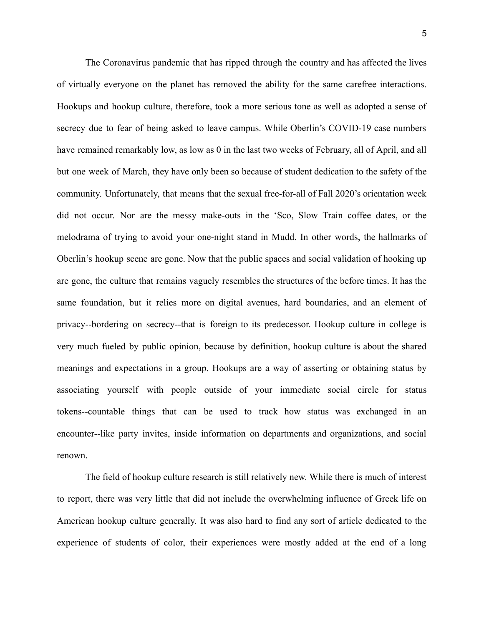The Coronavirus pandemic that has ripped through the country and has affected the lives of virtually everyone on the planet has removed the ability for the same carefree interactions. Hookups and hookup culture, therefore, took a more serious tone as well as adopted a sense of secrecy due to fear of being asked to leave campus. While Oberlin's COVID-19 case numbers have remained remarkably low, as low as 0 in the last two weeks of February, all of April, and all but one week of March, they have only been so because of student dedication to the safety of the community. Unfortunately, that means that the sexual free-for-all of Fall 2020's orientation week did not occur. Nor are the messy make-outs in the 'Sco, Slow Train coffee dates, or the melodrama of trying to avoid your one-night stand in Mudd. In other words, the hallmarks of Oberlin's hookup scene are gone. Now that the public spaces and social validation of hooking up are gone, the culture that remains vaguely resembles the structures of the before times. It has the same foundation, but it relies more on digital avenues, hard boundaries, and an element of privacy--bordering on secrecy--that is foreign to its predecessor. Hookup culture in college is very much fueled by public opinion, because by definition, hookup culture is about the shared meanings and expectations in a group. Hookups are a way of asserting or obtaining status by associating yourself with people outside of your immediate social circle for status tokens--countable things that can be used to track how status was exchanged in an encounter--like party invites, inside information on departments and organizations, and social renown.

The field of hookup culture research is still relatively new. While there is much of interest to report, there was very little that did not include the overwhelming influence of Greek life on American hookup culture generally. It was also hard to find any sort of article dedicated to the experience of students of color, their experiences were mostly added at the end of a long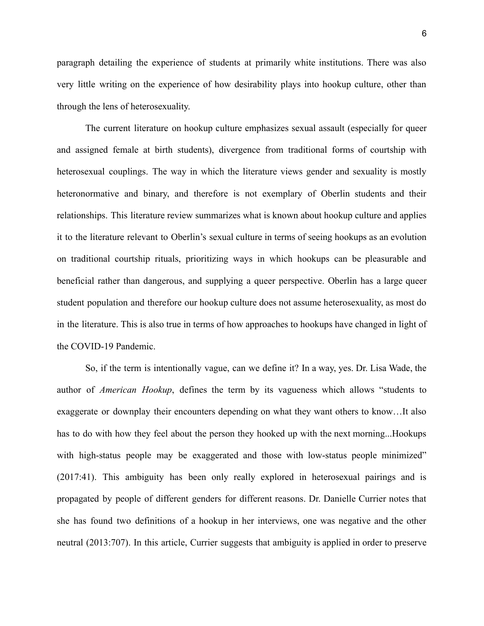paragraph detailing the experience of students at primarily white institutions. There was also very little writing on the experience of how desirability plays into hookup culture, other than through the lens of heterosexuality.

The current literature on hookup culture emphasizes sexual assault (especially for queer and assigned female at birth students), divergence from traditional forms of courtship with heterosexual couplings. The way in which the literature views gender and sexuality is mostly heteronormative and binary, and therefore is not exemplary of Oberlin students and their relationships. This literature review summarizes what is known about hookup culture and applies it to the literature relevant to Oberlin's sexual culture in terms of seeing hookups as an evolution on traditional courtship rituals, prioritizing ways in which hookups can be pleasurable and beneficial rather than dangerous, and supplying a queer perspective. Oberlin has a large queer student population and therefore our hookup culture does not assume heterosexuality, as most do in the literature. This is also true in terms of how approaches to hookups have changed in light of the COVID-19 Pandemic.

So, if the term is intentionally vague, can we define it? In a way, yes. Dr. Lisa Wade, the author of *American Hookup*, defines the term by its vagueness which allows "students to exaggerate or downplay their encounters depending on what they want others to know…It also has to do with how they feel about the person they hooked up with the next morning...Hookups with high-status people may be exaggerated and those with low-status people minimized" (2017:41). This ambiguity has been only really explored in heterosexual pairings and is propagated by people of different genders for different reasons. Dr. Danielle Currier notes that she has found two definitions of a hookup in her interviews, one was negative and the other neutral (2013:707). In this article, Currier suggests that ambiguity is applied in order to preserve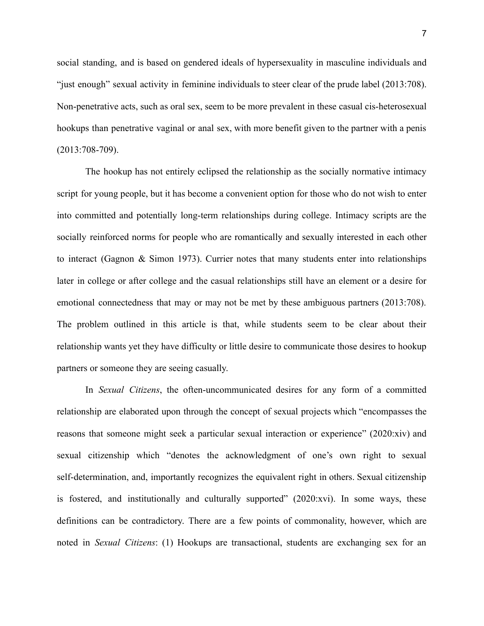social standing, and is based on gendered ideals of hypersexuality in masculine individuals and "just enough" sexual activity in feminine individuals to steer clear of the prude label (2013:708). Non-penetrative acts, such as oral sex, seem to be more prevalent in these casual cis-heterosexual hookups than penetrative vaginal or anal sex, with more benefit given to the partner with a penis (2013:708-709).

The hookup has not entirely eclipsed the relationship as the socially normative intimacy script for young people, but it has become a convenient option for those who do not wish to enter into committed and potentially long-term relationships during college. Intimacy scripts are the socially reinforced norms for people who are romantically and sexually interested in each other to interact (Gagnon & Simon 1973). Currier notes that many students enter into relationships later in college or after college and the casual relationships still have an element or a desire for emotional connectedness that may or may not be met by these ambiguous partners (2013:708). The problem outlined in this article is that, while students seem to be clear about their relationship wants yet they have difficulty or little desire to communicate those desires to hookup partners or someone they are seeing casually.

In *Sexual Citizens*, the often-uncommunicated desires for any form of a committed relationship are elaborated upon through the concept of sexual projects which "encompasses the reasons that someone might seek a particular sexual interaction or experience" (2020:xiv) and sexual citizenship which "denotes the acknowledgment of one's own right to sexual self-determination, and, importantly recognizes the equivalent right in others. Sexual citizenship is fostered, and institutionally and culturally supported" (2020:xvi). In some ways, these definitions can be contradictory. There are a few points of commonality, however, which are noted in *Sexual Citizens*: (1) Hookups are transactional, students are exchanging sex for an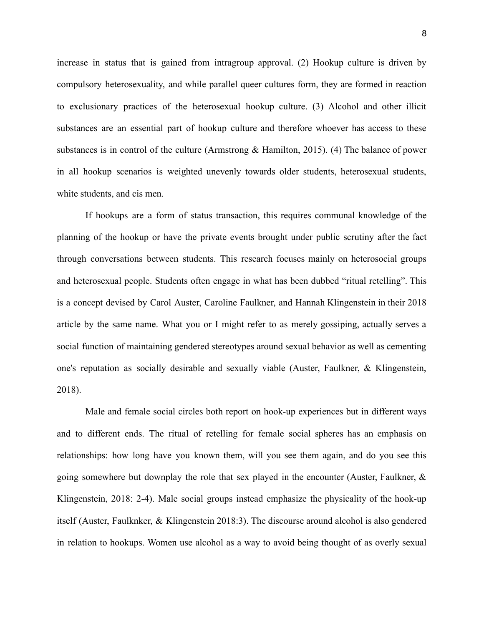increase in status that is gained from intragroup approval. (2) Hookup culture is driven by compulsory heterosexuality, and while parallel queer cultures form, they are formed in reaction to exclusionary practices of the heterosexual hookup culture. (3) Alcohol and other illicit substances are an essential part of hookup culture and therefore whoever has access to these substances is in control of the culture (Armstrong & Hamilton, 2015). (4) The balance of power in all hookup scenarios is weighted unevenly towards older students, heterosexual students, white students, and cis men.

If hookups are a form of status transaction, this requires communal knowledge of the planning of the hookup or have the private events brought under public scrutiny after the fact through conversations between students. This research focuses mainly on heterosocial groups and heterosexual people. Students often engage in what has been dubbed "ritual retelling". This is a concept devised by Carol Auster, Caroline Faulkner, and Hannah Klingenstein in their 2018 article by the same name. What you or I might refer to as merely gossiping, actually serves a social function of maintaining gendered stereotypes around sexual behavior as well as cementing one's reputation as socially desirable and sexually viable (Auster, Faulkner, & Klingenstein, 2018).

Male and female social circles both report on hook-up experiences but in different ways and to different ends. The ritual of retelling for female social spheres has an emphasis on relationships: how long have you known them, will you see them again, and do you see this going somewhere but downplay the role that sex played in the encounter (Auster, Faulkner, & Klingenstein, 2018: 2-4). Male social groups instead emphasize the physicality of the hook-up itself (Auster, Faulknker, & Klingenstein 2018:3). The discourse around alcohol is also gendered in relation to hookups. Women use alcohol as a way to avoid being thought of as overly sexual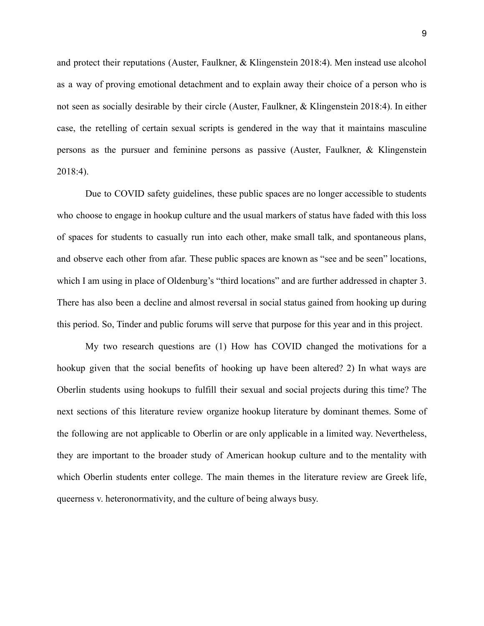and protect their reputations (Auster, Faulkner, & Klingenstein 2018:4). Men instead use alcohol as a way of proving emotional detachment and to explain away their choice of a person who is not seen as socially desirable by their circle (Auster, Faulkner, & Klingenstein 2018:4). In either case, the retelling of certain sexual scripts is gendered in the way that it maintains masculine persons as the pursuer and feminine persons as passive (Auster, Faulkner, & Klingenstein 2018:4).

Due to COVID safety guidelines, these public spaces are no longer accessible to students who choose to engage in hookup culture and the usual markers of status have faded with this loss of spaces for students to casually run into each other, make small talk, and spontaneous plans, and observe each other from afar. These public spaces are known as "see and be seen" locations, which I am using in place of Oldenburg's "third locations" and are further addressed in chapter 3. There has also been a decline and almost reversal in social status gained from hooking up during this period. So, Tinder and public forums will serve that purpose for this year and in this project.

My two research questions are (1) How has COVID changed the motivations for a hookup given that the social benefits of hooking up have been altered? 2) In what ways are Oberlin students using hookups to fulfill their sexual and social projects during this time? The next sections of this literature review organize hookup literature by dominant themes. Some of the following are not applicable to Oberlin or are only applicable in a limited way. Nevertheless, they are important to the broader study of American hookup culture and to the mentality with which Oberlin students enter college. The main themes in the literature review are Greek life, queerness v. heteronormativity, and the culture of being always busy.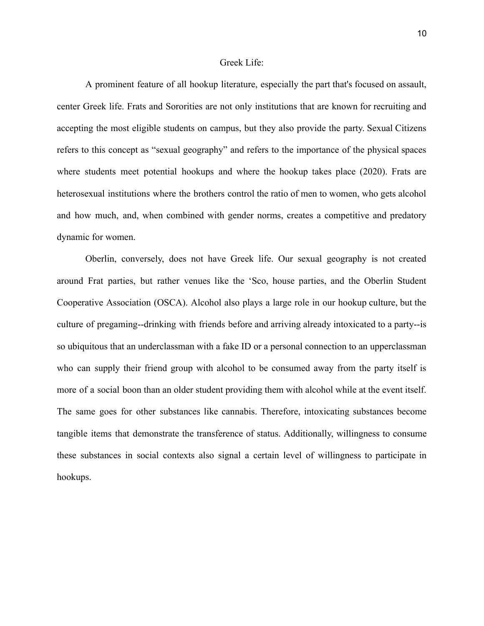#### Greek Life:

A prominent feature of all hookup literature, especially the part that's focused on assault, center Greek life. Frats and Sororities are not only institutions that are known for recruiting and accepting the most eligible students on campus, but they also provide the party. Sexual Citizens refers to this concept as "sexual geography" and refers to the importance of the physical spaces where students meet potential hookups and where the hookup takes place (2020). Frats are heterosexual institutions where the brothers control the ratio of men to women, who gets alcohol and how much, and, when combined with gender norms, creates a competitive and predatory dynamic for women.

Oberlin, conversely, does not have Greek life. Our sexual geography is not created around Frat parties, but rather venues like the 'Sco, house parties, and the Oberlin Student Cooperative Association (OSCA). Alcohol also plays a large role in our hookup culture, but the culture of pregaming--drinking with friends before and arriving already intoxicated to a party--is so ubiquitous that an underclassman with a fake ID or a personal connection to an upperclassman who can supply their friend group with alcohol to be consumed away from the party itself is more of a social boon than an older student providing them with alcohol while at the event itself. The same goes for other substances like cannabis. Therefore, intoxicating substances become tangible items that demonstrate the transference of status. Additionally, willingness to consume these substances in social contexts also signal a certain level of willingness to participate in hookups.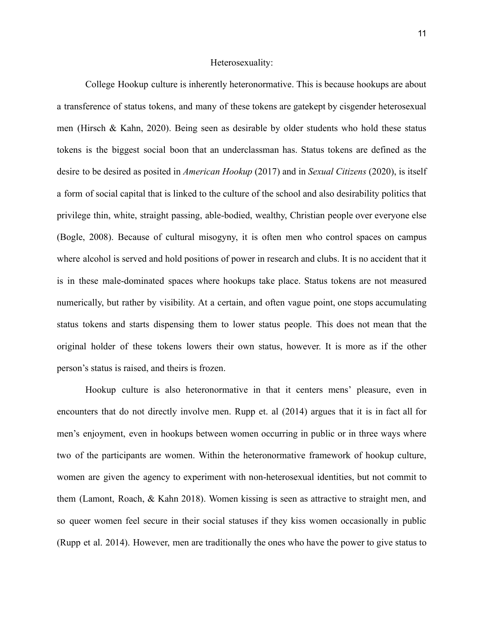#### Heterosexuality:

College Hookup culture is inherently heteronormative. This is because hookups are about a transference of status tokens, and many of these tokens are gatekept by cisgender heterosexual men (Hirsch & Kahn, 2020). Being seen as desirable by older students who hold these status tokens is the biggest social boon that an underclassman has. Status tokens are defined as the desire to be desired as posited in *American Hookup* (2017) and in *Sexual Citizens* (2020), is itself a form of social capital that is linked to the culture of the school and also desirability politics that privilege thin, white, straight passing, able-bodied, wealthy, Christian people over everyone else (Bogle, 2008). Because of cultural misogyny, it is often men who control spaces on campus where alcohol is served and hold positions of power in research and clubs. It is no accident that it is in these male-dominated spaces where hookups take place. Status tokens are not measured numerically, but rather by visibility. At a certain, and often vague point, one stops accumulating status tokens and starts dispensing them to lower status people. This does not mean that the original holder of these tokens lowers their own status, however. It is more as if the other person's status is raised, and theirs is frozen.

Hookup culture is also heteronormative in that it centers mens' pleasure, even in encounters that do not directly involve men. Rupp et. al (2014) argues that it is in fact all for men's enjoyment, even in hookups between women occurring in public or in three ways where two of the participants are women. Within the heteronormative framework of hookup culture, women are given the agency to experiment with non-heterosexual identities, but not commit to them (Lamont, Roach, & Kahn 2018). Women kissing is seen as attractive to straight men, and so queer women feel secure in their social statuses if they kiss women occasionally in public (Rupp et al. 2014). However, men are traditionally the ones who have the power to give status to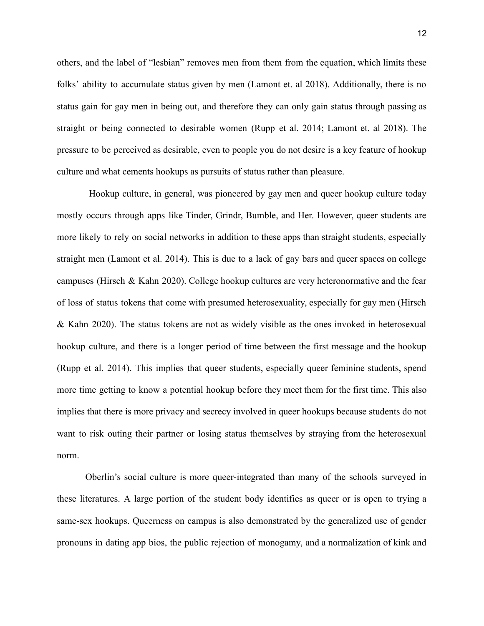others, and the label of "lesbian" removes men from them from the equation, which limits these folks' ability to accumulate status given by men (Lamont et. al 2018). Additionally, there is no status gain for gay men in being out, and therefore they can only gain status through passing as straight or being connected to desirable women (Rupp et al. 2014; Lamont et. al 2018). The pressure to be perceived as desirable, even to people you do not desire is a key feature of hookup culture and what cements hookups as pursuits of status rather than pleasure.

Hookup culture, in general, was pioneered by gay men and queer hookup culture today mostly occurs through apps like Tinder, Grindr, Bumble, and Her. However, queer students are more likely to rely on social networks in addition to these apps than straight students, especially straight men (Lamont et al. 2014). This is due to a lack of gay bars and queer spaces on college campuses (Hirsch & Kahn 2020). College hookup cultures are very heteronormative and the fear of loss of status tokens that come with presumed heterosexuality, especially for gay men (Hirsch & Kahn 2020). The status tokens are not as widely visible as the ones invoked in heterosexual hookup culture, and there is a longer period of time between the first message and the hookup (Rupp et al. 2014). This implies that queer students, especially queer feminine students, spend more time getting to know a potential hookup before they meet them for the first time. This also implies that there is more privacy and secrecy involved in queer hookups because students do not want to risk outing their partner or losing status themselves by straying from the heterosexual norm.

Oberlin's social culture is more queer-integrated than many of the schools surveyed in these literatures. A large portion of the student body identifies as queer or is open to trying a same-sex hookups. Queerness on campus is also demonstrated by the generalized use of gender pronouns in dating app bios, the public rejection of monogamy, and a normalization of kink and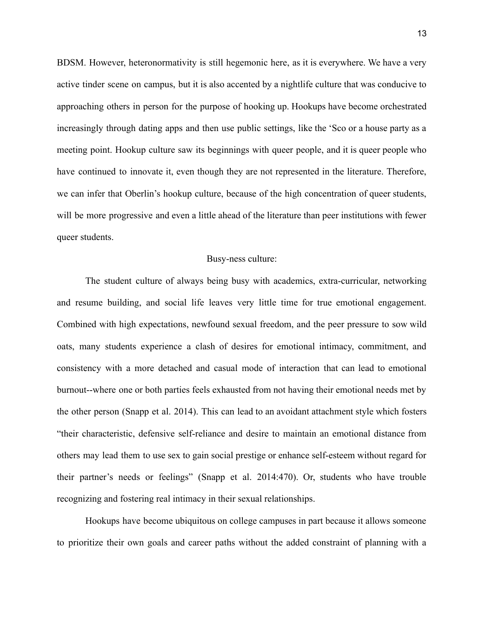BDSM. However, heteronormativity is still hegemonic here, as it is everywhere. We have a very active tinder scene on campus, but it is also accented by a nightlife culture that was conducive to approaching others in person for the purpose of hooking up. Hookups have become orchestrated increasingly through dating apps and then use public settings, like the 'Sco or a house party as a meeting point. Hookup culture saw its beginnings with queer people, and it is queer people who have continued to innovate it, even though they are not represented in the literature. Therefore, we can infer that Oberlin's hookup culture, because of the high concentration of queer students, will be more progressive and even a little ahead of the literature than peer institutions with fewer queer students.

#### Busy-ness culture:

The student culture of always being busy with academics, extra-curricular, networking and resume building, and social life leaves very little time for true emotional engagement. Combined with high expectations, newfound sexual freedom, and the peer pressure to sow wild oats, many students experience a clash of desires for emotional intimacy, commitment, and consistency with a more detached and casual mode of interaction that can lead to emotional burnout--where one or both parties feels exhausted from not having their emotional needs met by the other person (Snapp et al. 2014). This can lead to an avoidant attachment style which fosters "their characteristic, defensive self-reliance and desire to maintain an emotional distance from others may lead them to use sex to gain social prestige or enhance self-esteem without regard for their partner's needs or feelings" (Snapp et al. 2014:470). Or, students who have trouble recognizing and fostering real intimacy in their sexual relationships.

Hookups have become ubiquitous on college campuses in part because it allows someone to prioritize their own goals and career paths without the added constraint of planning with a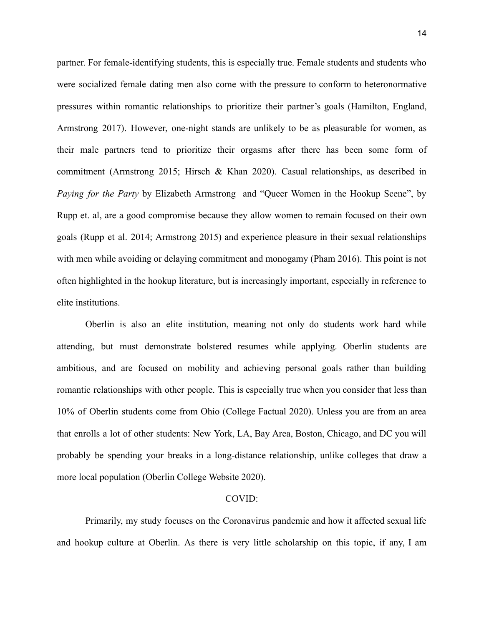partner. For female-identifying students, this is especially true. Female students and students who were socialized female dating men also come with the pressure to conform to heteronormative pressures within romantic relationships to prioritize their partner's goals (Hamilton, England, Armstrong 2017). However, one-night stands are unlikely to be as pleasurable for women, as their male partners tend to prioritize their orgasms after there has been some form of commitment (Armstrong 2015; Hirsch & Khan 2020). Casual relationships, as described in *Paying for the Party* by Elizabeth Armstrong and "Queer Women in the Hookup Scene", by Rupp et. al, are a good compromise because they allow women to remain focused on their own goals (Rupp et al. 2014; Armstrong 2015) and experience pleasure in their sexual relationships with men while avoiding or delaying commitment and monogamy (Pham 2016). This point is not often highlighted in the hookup literature, but is increasingly important, especially in reference to elite institutions.

Oberlin is also an elite institution, meaning not only do students work hard while attending, but must demonstrate bolstered resumes while applying. Oberlin students are ambitious, and are focused on mobility and achieving personal goals rather than building romantic relationships with other people. This is especially true when you consider that less than 10% of Oberlin students come from Ohio (College Factual 2020). Unless you are from an area that enrolls a lot of other students: New York, LA, Bay Area, Boston, Chicago, and DC you will probably be spending your breaks in a long-distance relationship, unlike colleges that draw a more local population (Oberlin College Website 2020).

#### COVID:

Primarily, my study focuses on the Coronavirus pandemic and how it affected sexual life and hookup culture at Oberlin. As there is very little scholarship on this topic, if any, I am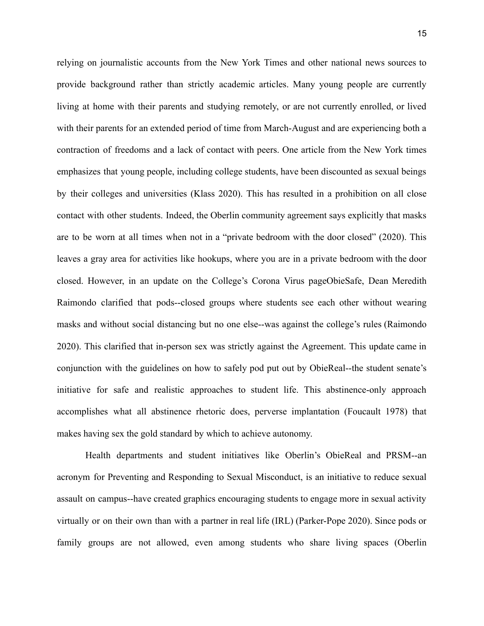relying on journalistic accounts from the New York Times and other national news sources to provide background rather than strictly academic articles. Many young people are currently living at home with their parents and studying remotely, or are not currently enrolled, or lived with their parents for an extended period of time from March-August and are experiencing both a contraction of freedoms and a lack of contact with peers. One article from the New York times emphasizes that young people, including college students, have been discounted as sexual beings by their colleges and universities (Klass 2020). This has resulted in a prohibition on all close contact with other students. Indeed, the Oberlin community agreement says explicitly that masks are to be worn at all times when not in a "private bedroom with the door closed" (2020). This leaves a gray area for activities like hookups, where you are in a private bedroom with the door closed. However, in an update on the College's Corona Virus pageObieSafe, Dean Meredith Raimondo clarified that pods--closed groups where students see each other without wearing masks and without social distancing but no one else--was against the college's rules (Raimondo 2020). This clarified that in-person sex was strictly against the Agreement. This update came in conjunction with the guidelines on how to safely pod put out by ObieReal--the student senate's initiative for safe and realistic approaches to student life. This abstinence-only approach accomplishes what all abstinence rhetoric does, perverse implantation (Foucault 1978) that makes having sex the gold standard by which to achieve autonomy.

Health departments and student initiatives like Oberlin's ObieReal and PRSM--an acronym for Preventing and Responding to Sexual Misconduct, is an initiative to reduce sexual assault on campus--have created graphics encouraging students to engage more in sexual activity virtually or on their own than with a partner in real life (IRL) (Parker-Pope 2020). Since pods or family groups are not allowed, even among students who share living spaces (Oberlin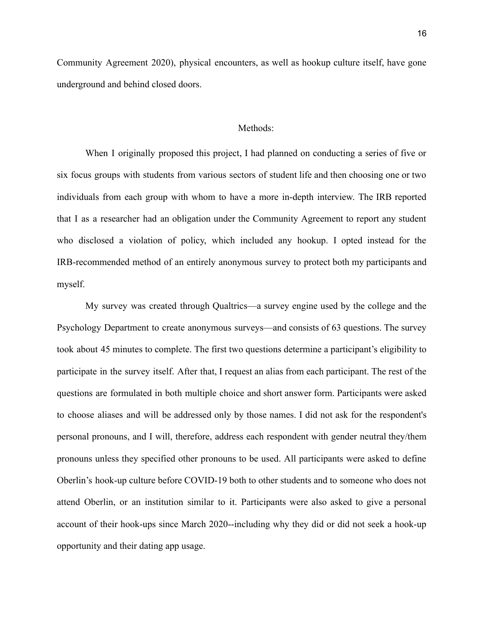Community Agreement 2020), physical encounters, as well as hookup culture itself, have gone underground and behind closed doors.

#### Methods:

When I originally proposed this project, I had planned on conducting a series of five or six focus groups with students from various sectors of student life and then choosing one or two individuals from each group with whom to have a more in-depth interview. The IRB reported that I as a researcher had an obligation under the Community Agreement to report any student who disclosed a violation of policy, which included any hookup. I opted instead for the IRB-recommended method of an entirely anonymous survey to protect both my participants and myself.

My survey was created through Qualtrics—a survey engine used by the college and the Psychology Department to create anonymous surveys—and consists of 63 questions. The survey took about 45 minutes to complete. The first two questions determine a participant's eligibility to participate in the survey itself. After that, I request an alias from each participant. The rest of the questions are formulated in both multiple choice and short answer form. Participants were asked to choose aliases and will be addressed only by those names. I did not ask for the respondent's personal pronouns, and I will, therefore, address each respondent with gender neutral they/them pronouns unless they specified other pronouns to be used. All participants were asked to define Oberlin's hook-up culture before COVID-19 both to other students and to someone who does not attend Oberlin, or an institution similar to it. Participants were also asked to give a personal account of their hook-ups since March 2020--including why they did or did not seek a hook-up opportunity and their dating app usage.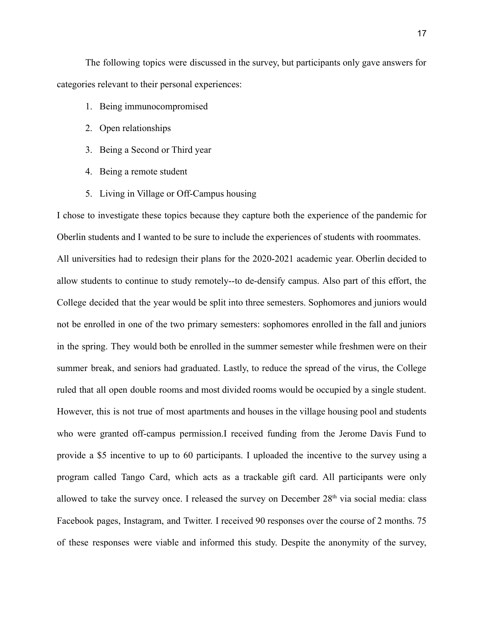The following topics were discussed in the survey, but participants only gave answers for categories relevant to their personal experiences:

- 1. Being immunocompromised
- 2. Open relationships
- 3. Being a Second or Third year
- 4. Being a remote student
- 5. Living in Village or Off-Campus housing

I chose to investigate these topics because they capture both the experience of the pandemic for Oberlin students and I wanted to be sure to include the experiences of students with roommates. All universities had to redesign their plans for the 2020-2021 academic year. Oberlin decided to allow students to continue to study remotely--to de-densify campus. Also part of this effort, the College decided that the year would be split into three semesters. Sophomores and juniors would not be enrolled in one of the two primary semesters: sophomores enrolled in the fall and juniors in the spring. They would both be enrolled in the summer semester while freshmen were on their summer break, and seniors had graduated. Lastly, to reduce the spread of the virus, the College ruled that all open double rooms and most divided rooms would be occupied by a single student. However, this is not true of most apartments and houses in the village housing pool and students who were granted off-campus permission.I received funding from the Jerome Davis Fund to provide a \$5 incentive to up to 60 participants. I uploaded the incentive to the survey using a program called Tango Card, which acts as a trackable gift card. All participants were only allowed to take the survey once. I released the survey on December  $28<sup>th</sup>$  via social media: class Facebook pages, Instagram, and Twitter. I received 90 responses over the course of 2 months. 75 of these responses were viable and informed this study. Despite the anonymity of the survey,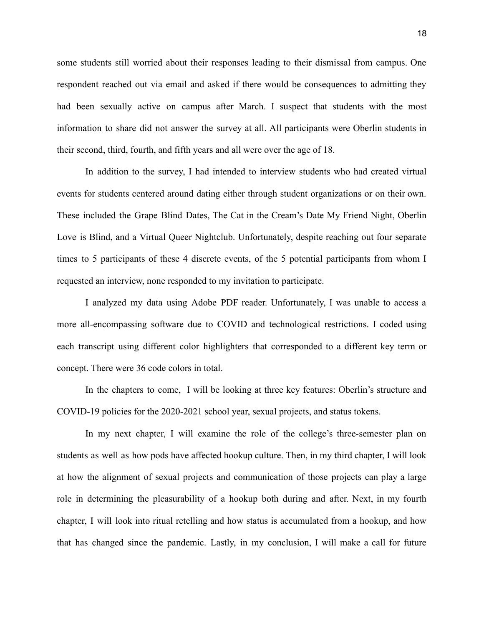some students still worried about their responses leading to their dismissal from campus. One respondent reached out via email and asked if there would be consequences to admitting they had been sexually active on campus after March. I suspect that students with the most information to share did not answer the survey at all. All participants were Oberlin students in their second, third, fourth, and fifth years and all were over the age of 18.

In addition to the survey, I had intended to interview students who had created virtual events for students centered around dating either through student organizations or on their own. These included the Grape Blind Dates, The Cat in the Cream's Date My Friend Night, Oberlin Love is Blind, and a Virtual Queer Nightclub. Unfortunately, despite reaching out four separate times to 5 participants of these 4 discrete events, of the 5 potential participants from whom I requested an interview, none responded to my invitation to participate.

I analyzed my data using Adobe PDF reader. Unfortunately, I was unable to access a more all-encompassing software due to COVID and technological restrictions. I coded using each transcript using different color highlighters that corresponded to a different key term or concept. There were 36 code colors in total.

In the chapters to come, I will be looking at three key features: Oberlin's structure and COVID-19 policies for the 2020-2021 school year, sexual projects, and status tokens.

In my next chapter, I will examine the role of the college's three-semester plan on students as well as how pods have affected hookup culture. Then, in my third chapter, I will look at how the alignment of sexual projects and communication of those projects can play a large role in determining the pleasurability of a hookup both during and after. Next, in my fourth chapter, I will look into ritual retelling and how status is accumulated from a hookup, and how that has changed since the pandemic. Lastly, in my conclusion, I will make a call for future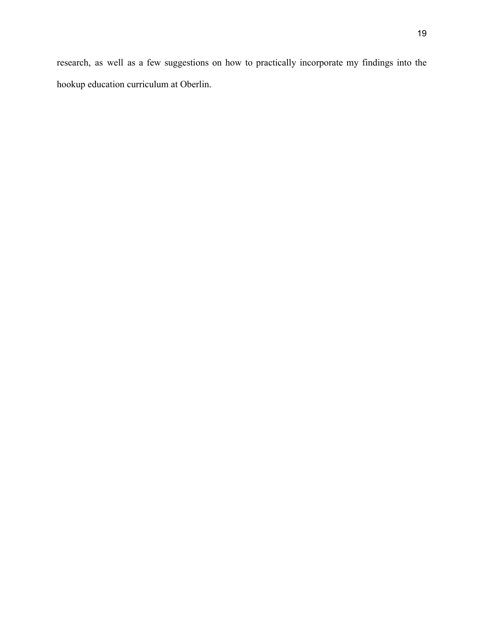research, as well as a few suggestions on how to practically incorporate my findings into the hookup education curriculum at Oberlin.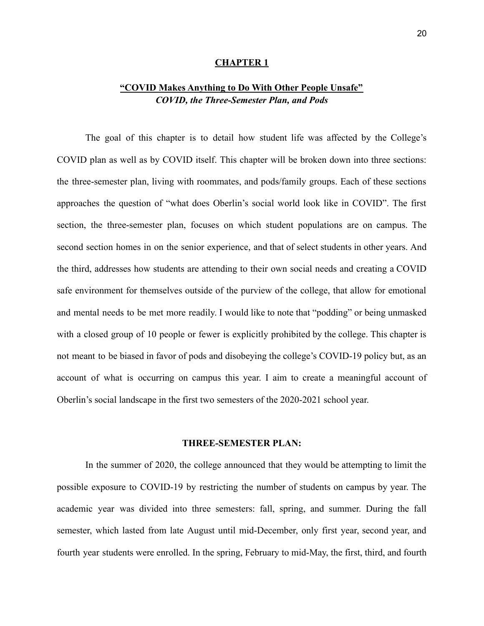#### **CHAPTER 1**

## **"COVID Makes Anything to Do With Other People Unsafe"** *COVID, the Three-Semester Plan, and Pods*

The goal of this chapter is to detail how student life was affected by the College's COVID plan as well as by COVID itself. This chapter will be broken down into three sections: the three-semester plan, living with roommates, and pods/family groups. Each of these sections approaches the question of "what does Oberlin's social world look like in COVID". The first section, the three-semester plan, focuses on which student populations are on campus. The second section homes in on the senior experience, and that of select students in other years. And the third, addresses how students are attending to their own social needs and creating a COVID safe environment for themselves outside of the purview of the college, that allow for emotional and mental needs to be met more readily. I would like to note that "podding" or being unmasked with a closed group of 10 people or fewer is explicitly prohibited by the college. This chapter is not meant to be biased in favor of pods and disobeying the college's COVID-19 policy but, as an account of what is occurring on campus this year. I aim to create a meaningful account of Oberlin's social landscape in the first two semesters of the 2020-2021 school year.

#### **THREE-SEMESTER PLAN:**

In the summer of 2020, the college announced that they would be attempting to limit the possible exposure to COVID-19 by restricting the number of students on campus by year. The academic year was divided into three semesters: fall, spring, and summer. During the fall semester, which lasted from late August until mid-December, only first year, second year, and fourth year students were enrolled. In the spring, February to mid-May, the first, third, and fourth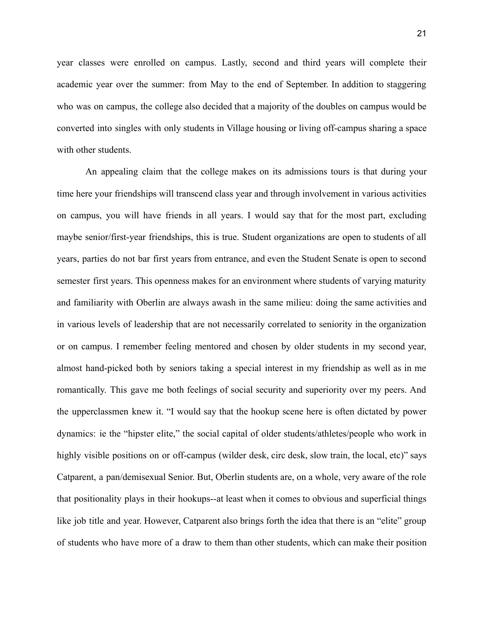year classes were enrolled on campus. Lastly, second and third years will complete their academic year over the summer: from May to the end of September. In addition to staggering who was on campus, the college also decided that a majority of the doubles on campus would be converted into singles with only students in Village housing or living off-campus sharing a space with other students.

An appealing claim that the college makes on its admissions tours is that during your time here your friendships will transcend class year and through involvement in various activities on campus, you will have friends in all years. I would say that for the most part, excluding maybe senior/first-year friendships, this is true. Student organizations are open to students of all years, parties do not bar first years from entrance, and even the Student Senate is open to second semester first years. This openness makes for an environment where students of varying maturity and familiarity with Oberlin are always awash in the same milieu: doing the same activities and in various levels of leadership that are not necessarily correlated to seniority in the organization or on campus. I remember feeling mentored and chosen by older students in my second year, almost hand-picked both by seniors taking a special interest in my friendship as well as in me romantically. This gave me both feelings of social security and superiority over my peers. And the upperclassmen knew it. "I would say that the hookup scene here is often dictated by power dynamics: ie the "hipster elite," the social capital of older students/athletes/people who work in highly visible positions on or off-campus (wilder desk, circ desk, slow train, the local, etc)" says Catparent, a pan/demisexual Senior. But, Oberlin students are, on a whole, very aware of the role that positionality plays in their hookups--at least when it comes to obvious and superficial things like job title and year. However, Catparent also brings forth the idea that there is an "elite" group of students who have more of a draw to them than other students, which can make their position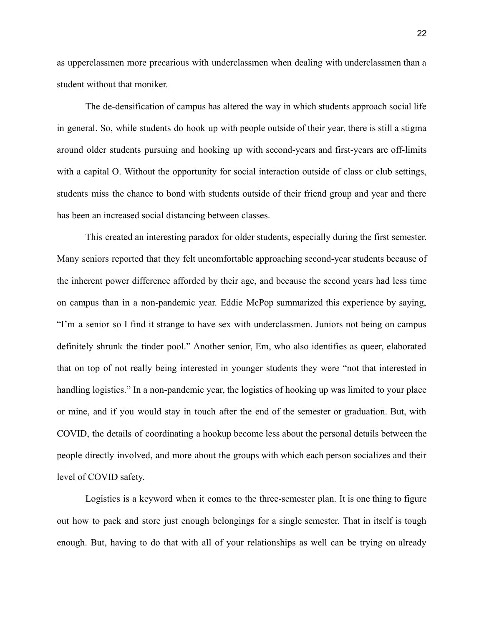as upperclassmen more precarious with underclassmen when dealing with underclassmen than a student without that moniker.

The de-densification of campus has altered the way in which students approach social life in general. So, while students do hook up with people outside of their year, there is still a stigma around older students pursuing and hooking up with second-years and first-years are off-limits with a capital O. Without the opportunity for social interaction outside of class or club settings, students miss the chance to bond with students outside of their friend group and year and there has been an increased social distancing between classes.

This created an interesting paradox for older students, especially during the first semester. Many seniors reported that they felt uncomfortable approaching second-year students because of the inherent power difference afforded by their age, and because the second years had less time on campus than in a non-pandemic year. Eddie McPop summarized this experience by saying, "I'm a senior so I find it strange to have sex with underclassmen. Juniors not being on campus definitely shrunk the tinder pool." Another senior, Em, who also identifies as queer, elaborated that on top of not really being interested in younger students they were "not that interested in handling logistics." In a non-pandemic year, the logistics of hooking up was limited to your place or mine, and if you would stay in touch after the end of the semester or graduation. But, with COVID, the details of coordinating a hookup become less about the personal details between the people directly involved, and more about the groups with which each person socializes and their level of COVID safety.

Logistics is a keyword when it comes to the three-semester plan. It is one thing to figure out how to pack and store just enough belongings for a single semester. That in itself is tough enough. But, having to do that with all of your relationships as well can be trying on already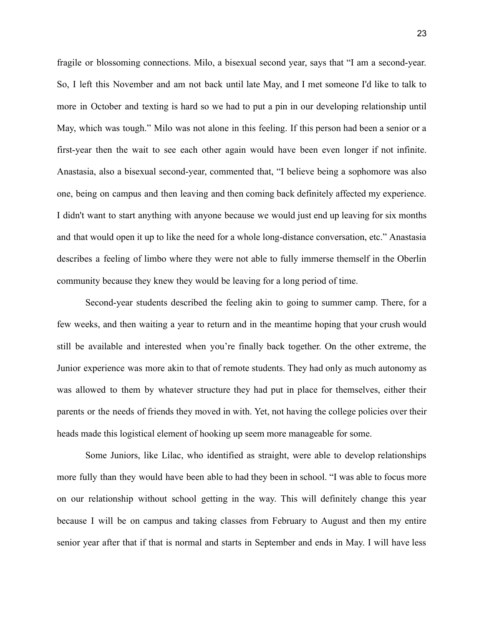fragile or blossoming connections. Milo, a bisexual second year, says that "I am a second-year. So, I left this November and am not back until late May, and I met someone I'd like to talk to more in October and texting is hard so we had to put a pin in our developing relationship until May, which was tough." Milo was not alone in this feeling. If this person had been a senior or a first-year then the wait to see each other again would have been even longer if not infinite. Anastasia, also a bisexual second-year, commented that, "I believe being a sophomore was also one, being on campus and then leaving and then coming back definitely affected my experience. I didn't want to start anything with anyone because we would just end up leaving for six months and that would open it up to like the need for a whole long-distance conversation, etc." Anastasia describes a feeling of limbo where they were not able to fully immerse themself in the Oberlin community because they knew they would be leaving for a long period of time.

Second-year students described the feeling akin to going to summer camp. There, for a few weeks, and then waiting a year to return and in the meantime hoping that your crush would still be available and interested when you're finally back together. On the other extreme, the Junior experience was more akin to that of remote students. They had only as much autonomy as was allowed to them by whatever structure they had put in place for themselves, either their parents or the needs of friends they moved in with. Yet, not having the college policies over their heads made this logistical element of hooking up seem more manageable for some.

Some Juniors, like Lilac, who identified as straight, were able to develop relationships more fully than they would have been able to had they been in school. "I was able to focus more on our relationship without school getting in the way. This will definitely change this year because I will be on campus and taking classes from February to August and then my entire senior year after that if that is normal and starts in September and ends in May. I will have less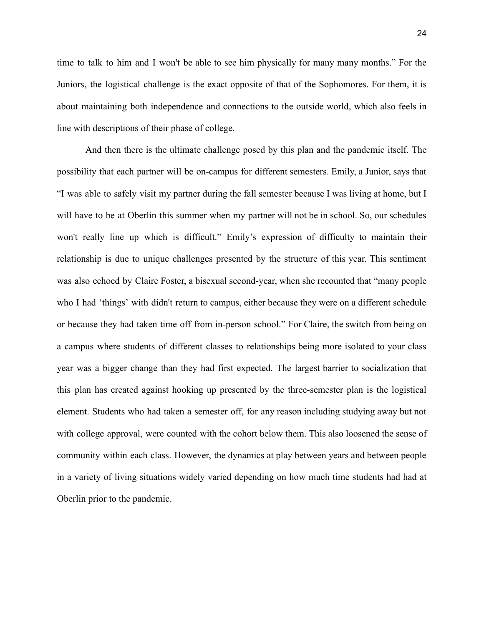time to talk to him and I won't be able to see him physically for many many months." For the Juniors, the logistical challenge is the exact opposite of that of the Sophomores. For them, it is about maintaining both independence and connections to the outside world, which also feels in line with descriptions of their phase of college.

And then there is the ultimate challenge posed by this plan and the pandemic itself. The possibility that each partner will be on-campus for different semesters. Emily, a Junior, says that "I was able to safely visit my partner during the fall semester because I was living at home, but I will have to be at Oberlin this summer when my partner will not be in school. So, our schedules won't really line up which is difficult." Emily's expression of difficulty to maintain their relationship is due to unique challenges presented by the structure of this year. This sentiment was also echoed by Claire Foster, a bisexual second-year, when she recounted that "many people who I had 'things' with didn't return to campus, either because they were on a different schedule or because they had taken time off from in-person school." For Claire, the switch from being on a campus where students of different classes to relationships being more isolated to your class year was a bigger change than they had first expected. The largest barrier to socialization that this plan has created against hooking up presented by the three-semester plan is the logistical element. Students who had taken a semester off, for any reason including studying away but not with college approval, were counted with the cohort below them. This also loosened the sense of community within each class. However, the dynamics at play between years and between people in a variety of living situations widely varied depending on how much time students had had at Oberlin prior to the pandemic.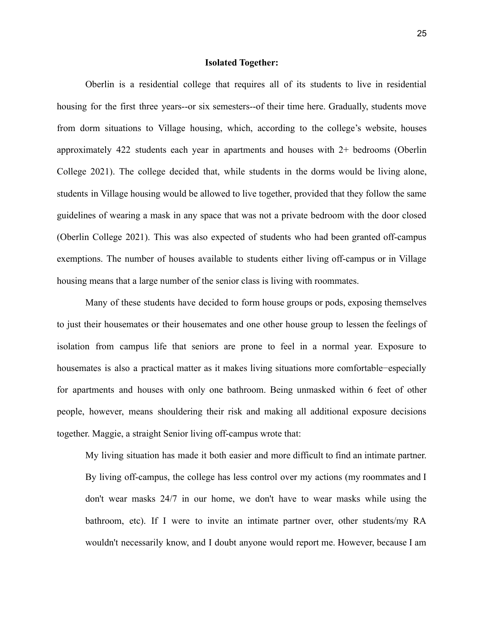#### **Isolated Together:**

Oberlin is a residential college that requires all of its students to live in residential housing for the first three years--or six semesters--of their time here. Gradually, students move from dorm situations to Village housing, which, according to the college's website, houses approximately 422 students each year in apartments and houses with 2+ bedrooms (Oberlin College 2021). The college decided that, while students in the dorms would be living alone, students in Village housing would be allowed to live together, provided that they follow the same guidelines of wearing a mask in any space that was not a private bedroom with the door closed (Oberlin College 2021). This was also expected of students who had been granted off-campus exemptions. The number of houses available to students either living off-campus or in Village housing means that a large number of the senior class is living with roommates.

Many of these students have decided to form house groups or pods, exposing themselves to just their housemates or their housemates and one other house group to lessen the feelings of isolation from campus life that seniors are prone to feel in a normal year. Exposure to housemates is also a practical matter as it makes living situations more comfortable−especially for apartments and houses with only one bathroom. Being unmasked within 6 feet of other people, however, means shouldering their risk and making all additional exposure decisions together. Maggie, a straight Senior living off-campus wrote that:

My living situation has made it both easier and more difficult to find an intimate partner. By living off-campus, the college has less control over my actions (my roommates and I don't wear masks 24/7 in our home, we don't have to wear masks while using the bathroom, etc). If I were to invite an intimate partner over, other students/my RA wouldn't necessarily know, and I doubt anyone would report me. However, because I am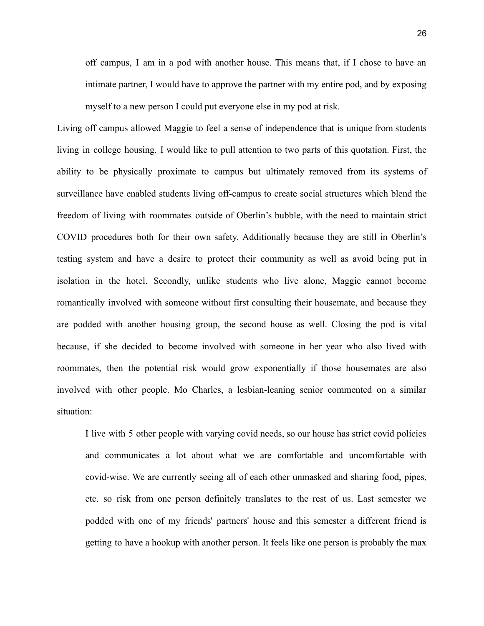off campus, I am in a pod with another house. This means that, if I chose to have an intimate partner, I would have to approve the partner with my entire pod, and by exposing myself to a new person I could put everyone else in my pod at risk.

Living off campus allowed Maggie to feel a sense of independence that is unique from students living in college housing. I would like to pull attention to two parts of this quotation. First, the ability to be physically proximate to campus but ultimately removed from its systems of surveillance have enabled students living off-campus to create social structures which blend the freedom of living with roommates outside of Oberlin's bubble, with the need to maintain strict COVID procedures both for their own safety. Additionally because they are still in Oberlin's testing system and have a desire to protect their community as well as avoid being put in isolation in the hotel. Secondly, unlike students who live alone, Maggie cannot become romantically involved with someone without first consulting their housemate, and because they are podded with another housing group, the second house as well. Closing the pod is vital because, if she decided to become involved with someone in her year who also lived with roommates, then the potential risk would grow exponentially if those housemates are also involved with other people. Mo Charles, a lesbian-leaning senior commented on a similar situation:

I live with 5 other people with varying covid needs, so our house has strict covid policies and communicates a lot about what we are comfortable and uncomfortable with covid-wise. We are currently seeing all of each other unmasked and sharing food, pipes, etc. so risk from one person definitely translates to the rest of us. Last semester we podded with one of my friends' partners' house and this semester a different friend is getting to have a hookup with another person. It feels like one person is probably the max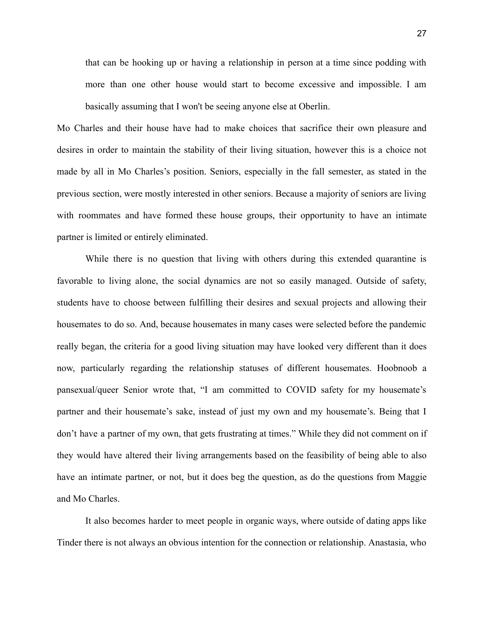that can be hooking up or having a relationship in person at a time since podding with more than one other house would start to become excessive and impossible. I am basically assuming that I won't be seeing anyone else at Oberlin.

Mo Charles and their house have had to make choices that sacrifice their own pleasure and desires in order to maintain the stability of their living situation, however this is a choice not made by all in Mo Charles's position. Seniors, especially in the fall semester, as stated in the previous section, were mostly interested in other seniors. Because a majority of seniors are living with roommates and have formed these house groups, their opportunity to have an intimate partner is limited or entirely eliminated.

While there is no question that living with others during this extended quarantine is favorable to living alone, the social dynamics are not so easily managed. Outside of safety, students have to choose between fulfilling their desires and sexual projects and allowing their housemates to do so. And, because housemates in many cases were selected before the pandemic really began, the criteria for a good living situation may have looked very different than it does now, particularly regarding the relationship statuses of different housemates. Hoobnoob a pansexual/queer Senior wrote that, "I am committed to COVID safety for my housemate's partner and their housemate's sake, instead of just my own and my housemate's. Being that I don't have a partner of my own, that gets frustrating at times." While they did not comment on if they would have altered their living arrangements based on the feasibility of being able to also have an intimate partner, or not, but it does beg the question, as do the questions from Maggie and Mo Charles.

It also becomes harder to meet people in organic ways, where outside of dating apps like Tinder there is not always an obvious intention for the connection or relationship. Anastasia, who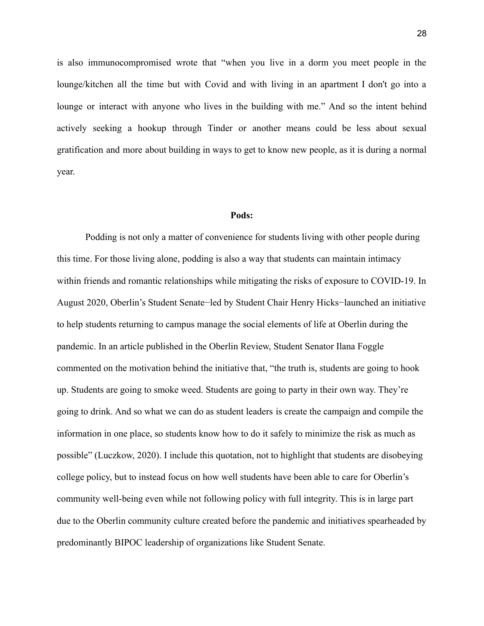is also immunocompromised wrote that "when you live in a dorm you meet people in the lounge/kitchen all the time but with Covid and with living in an apartment I don't go into a lounge or interact with anyone who lives in the building with me." And so the intent behind actively seeking a hookup through Tinder or another means could be less about sexual gratification and more about building in ways to get to know new people, as it is during a normal year.

#### **Pods:**

Podding is not only a matter of convenience for students living with other people during this time. For those living alone, podding is also a way that students can maintain intimacy within friends and romantic relationships while mitigating the risks of exposure to COVID-19. In August 2020, Oberlin's Student Senate−led by Student Chair Henry Hicks−launched an initiative to help students returning to campus manage the social elements of life at Oberlin during the pandemic. In an article published in the Oberlin Review, Student Senator Ilana Foggle commented on the motivation behind the initiative that, "the truth is, students are going to hook up. Students are going to smoke weed. Students are going to party in their own way. They're going to drink. And so what we can do as student leaders is create the campaign and compile the information in one place, so students know how to do it safely to minimize the risk as much as possible" (Luczkow, 2020). I include this quotation, not to highlight that students are disobeying college policy, but to instead focus on how well students have been able to care for Oberlin's community well-being even while not following policy with full integrity. This is in large part due to the Oberlin community culture created before the pandemic and initiatives spearheaded by predominantly BIPOC leadership of organizations like Student Senate.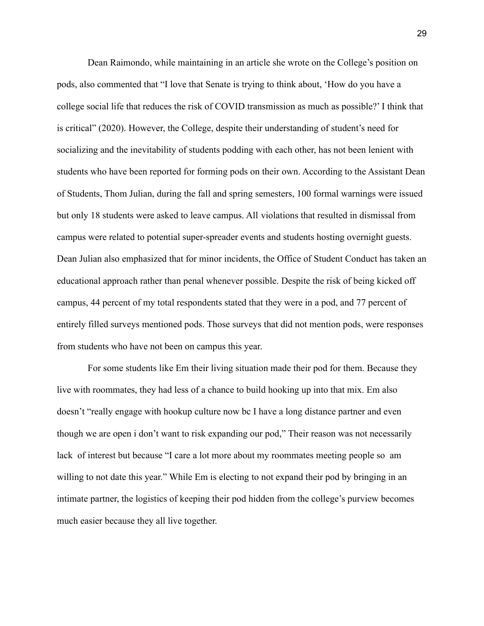Dean Raimondo, while maintaining in an article she wrote on the College's position on pods, also commented that "I love that Senate is trying to think about, 'How do you have a college social life that reduces the risk of COVID transmission as much as possible?' I think that is critical" (2020). However, the College, despite their understanding of student's need for socializing and the inevitability of students podding with each other, has not been lenient with students who have been reported for forming pods on their own. According to the Assistant Dean of Students, Thom Julian, during the fall and spring semesters, 100 formal warnings were issued but only 18 students were asked to leave campus. All violations that resulted in dismissal from campus were related to potential super-spreader events and students hosting overnight guests. Dean Julian also emphasized that for minor incidents, the Office of Student Conduct has taken an educational approach rather than penal whenever possible. Despite the risk of being kicked off campus, 44 percent of my total respondents stated that they were in a pod, and 77 percent of entirely filled surveys mentioned pods. Those surveys that did not mention pods, were responses from students who have not been on campus this year.

For some students like Em their living situation made their pod for them. Because they live with roommates, they had less of a chance to build hooking up into that mix. Em also doesn't "really engage with hookup culture now bc I have a long distance partner and even though we are open i don't want to risk expanding our pod," Their reason was not necessarily lack of interest but because "I care a lot more about my roommates meeting people so am willing to not date this year." While Em is electing to not expand their pod by bringing in an intimate partner, the logistics of keeping their pod hidden from the college's purview becomes much easier because they all live together.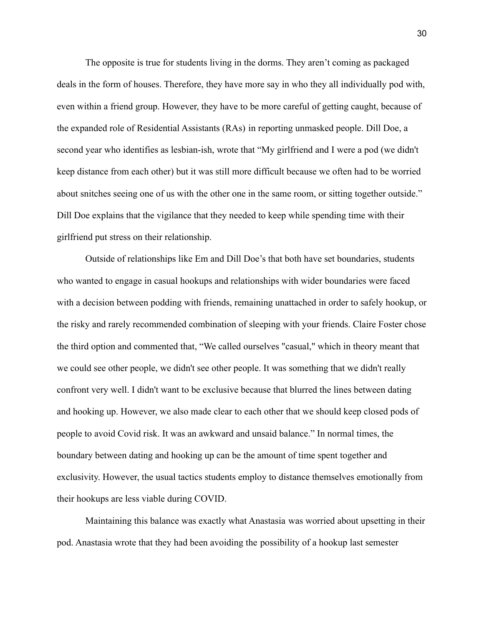The opposite is true for students living in the dorms. They aren't coming as packaged deals in the form of houses. Therefore, they have more say in who they all individually pod with, even within a friend group. However, they have to be more careful of getting caught, because of the expanded role of Residential Assistants (RAs) in reporting unmasked people. Dill Doe, a second year who identifies as lesbian-ish, wrote that "My girlfriend and I were a pod (we didn't keep distance from each other) but it was still more difficult because we often had to be worried about snitches seeing one of us with the other one in the same room, or sitting together outside." Dill Doe explains that the vigilance that they needed to keep while spending time with their girlfriend put stress on their relationship.

Outside of relationships like Em and Dill Doe's that both have set boundaries, students who wanted to engage in casual hookups and relationships with wider boundaries were faced with a decision between podding with friends, remaining unattached in order to safely hookup, or the risky and rarely recommended combination of sleeping with your friends. Claire Foster chose the third option and commented that, "We called ourselves "casual," which in theory meant that we could see other people, we didn't see other people. It was something that we didn't really confront very well. I didn't want to be exclusive because that blurred the lines between dating and hooking up. However, we also made clear to each other that we should keep closed pods of people to avoid Covid risk. It was an awkward and unsaid balance." In normal times, the boundary between dating and hooking up can be the amount of time spent together and exclusivity. However, the usual tactics students employ to distance themselves emotionally from their hookups are less viable during COVID.

Maintaining this balance was exactly what Anastasia was worried about upsetting in their pod. Anastasia wrote that they had been avoiding the possibility of a hookup last semester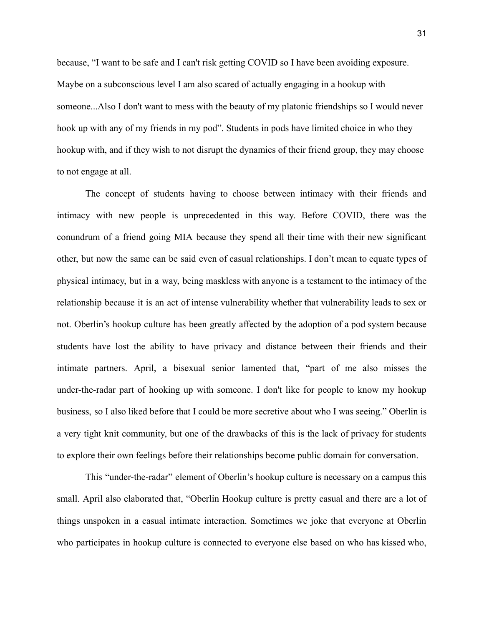because, "I want to be safe and I can't risk getting COVID so I have been avoiding exposure. Maybe on a subconscious level I am also scared of actually engaging in a hookup with someone...Also I don't want to mess with the beauty of my platonic friendships so I would never hook up with any of my friends in my pod". Students in pods have limited choice in who they hookup with, and if they wish to not disrupt the dynamics of their friend group, they may choose to not engage at all.

The concept of students having to choose between intimacy with their friends and intimacy with new people is unprecedented in this way. Before COVID, there was the conundrum of a friend going MIA because they spend all their time with their new significant other, but now the same can be said even of casual relationships. I don't mean to equate types of physical intimacy, but in a way, being maskless with anyone is a testament to the intimacy of the relationship because it is an act of intense vulnerability whether that vulnerability leads to sex or not. Oberlin's hookup culture has been greatly affected by the adoption of a pod system because students have lost the ability to have privacy and distance between their friends and their intimate partners. April, a bisexual senior lamented that, "part of me also misses the under-the-radar part of hooking up with someone. I don't like for people to know my hookup business, so I also liked before that I could be more secretive about who I was seeing." Oberlin is a very tight knit community, but one of the drawbacks of this is the lack of privacy for students to explore their own feelings before their relationships become public domain for conversation.

This "under-the-radar" element of Oberlin's hookup culture is necessary on a campus this small. April also elaborated that, "Oberlin Hookup culture is pretty casual and there are a lot of things unspoken in a casual intimate interaction. Sometimes we joke that everyone at Oberlin who participates in hookup culture is connected to everyone else based on who has kissed who,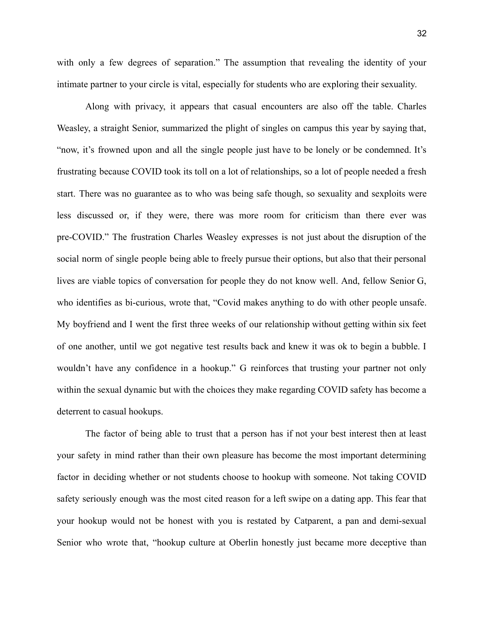with only a few degrees of separation." The assumption that revealing the identity of your intimate partner to your circle is vital, especially for students who are exploring their sexuality.

Along with privacy, it appears that casual encounters are also off the table. Charles Weasley, a straight Senior, summarized the plight of singles on campus this year by saying that, "now, it's frowned upon and all the single people just have to be lonely or be condemned. It's frustrating because COVID took its toll on a lot of relationships, so a lot of people needed a fresh start. There was no guarantee as to who was being safe though, so sexuality and sexploits were less discussed or, if they were, there was more room for criticism than there ever was pre-COVID." The frustration Charles Weasley expresses is not just about the disruption of the social norm of single people being able to freely pursue their options, but also that their personal lives are viable topics of conversation for people they do not know well. And, fellow Senior G, who identifies as bi-curious, wrote that, "Covid makes anything to do with other people unsafe. My boyfriend and I went the first three weeks of our relationship without getting within six feet of one another, until we got negative test results back and knew it was ok to begin a bubble. I wouldn't have any confidence in a hookup." G reinforces that trusting your partner not only within the sexual dynamic but with the choices they make regarding COVID safety has become a deterrent to casual hookups.

The factor of being able to trust that a person has if not your best interest then at least your safety in mind rather than their own pleasure has become the most important determining factor in deciding whether or not students choose to hookup with someone. Not taking COVID safety seriously enough was the most cited reason for a left swipe on a dating app. This fear that your hookup would not be honest with you is restated by Catparent, a pan and demi-sexual Senior who wrote that, "hookup culture at Oberlin honestly just became more deceptive than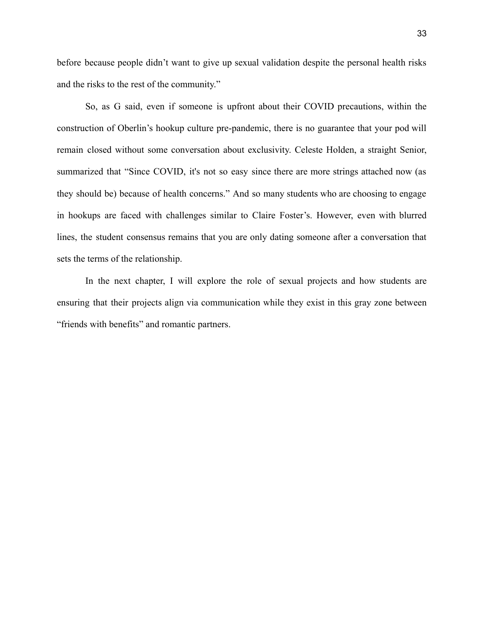before because people didn't want to give up sexual validation despite the personal health risks and the risks to the rest of the community."

So, as G said, even if someone is upfront about their COVID precautions, within the construction of Oberlin's hookup culture pre-pandemic, there is no guarantee that your pod will remain closed without some conversation about exclusivity. Celeste Holden, a straight Senior, summarized that "Since COVID, it's not so easy since there are more strings attached now (as they should be) because of health concerns." And so many students who are choosing to engage in hookups are faced with challenges similar to Claire Foster's. However, even with blurred lines, the student consensus remains that you are only dating someone after a conversation that sets the terms of the relationship.

In the next chapter, I will explore the role of sexual projects and how students are ensuring that their projects align via communication while they exist in this gray zone between "friends with benefits" and romantic partners.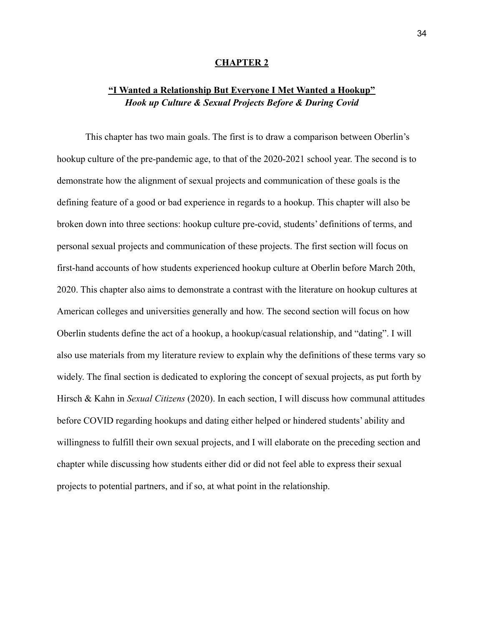#### **CHAPTER 2**

### **"I Wanted a Relationship But Everyone I Met Wanted a Hookup"** *Hook up Culture & Sexual Projects Before & During Covid*

This chapter has two main goals. The first is to draw a comparison between Oberlin's hookup culture of the pre-pandemic age, to that of the 2020-2021 school year. The second is to demonstrate how the alignment of sexual projects and communication of these goals is the defining feature of a good or bad experience in regards to a hookup. This chapter will also be broken down into three sections: hookup culture pre-covid, students' definitions of terms, and personal sexual projects and communication of these projects. The first section will focus on first-hand accounts of how students experienced hookup culture at Oberlin before March 20th, 2020. This chapter also aims to demonstrate a contrast with the literature on hookup cultures at American colleges and universities generally and how. The second section will focus on how Oberlin students define the act of a hookup, a hookup/casual relationship, and "dating". I will also use materials from my literature review to explain why the definitions of these terms vary so widely. The final section is dedicated to exploring the concept of sexual projects, as put forth by Hirsch & Kahn in *Sexual Citizens* (2020). In each section, I will discuss how communal attitudes before COVID regarding hookups and dating either helped or hindered students' ability and willingness to fulfill their own sexual projects, and I will elaborate on the preceding section and chapter while discussing how students either did or did not feel able to express their sexual projects to potential partners, and if so, at what point in the relationship.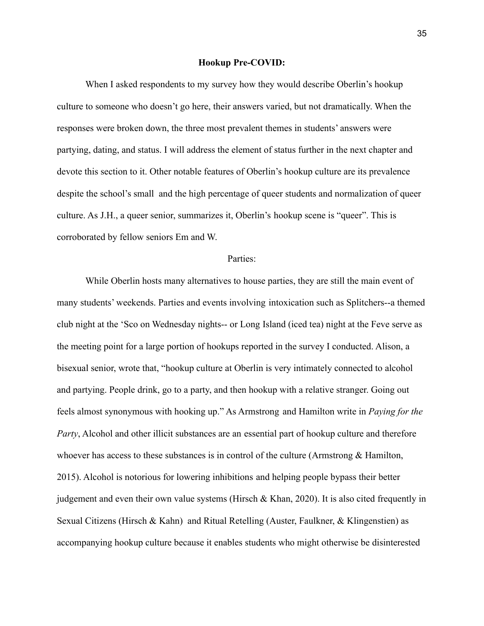#### **Hookup Pre-COVID:**

When I asked respondents to my survey how they would describe Oberlin's hookup culture to someone who doesn't go here, their answers varied, but not dramatically. When the responses were broken down, the three most prevalent themes in students' answers were partying, dating, and status. I will address the element of status further in the next chapter and devote this section to it. Other notable features of Oberlin's hookup culture are its prevalence despite the school's small and the high percentage of queer students and normalization of queer culture. As J.H., a queer senior, summarizes it, Oberlin's hookup scene is "queer". This is corroborated by fellow seniors Em and W.

#### Parties:

While Oberlin hosts many alternatives to house parties, they are still the main event of many students' weekends. Parties and events involving intoxication such as Splitchers--a themed club night at the 'Sco on Wednesday nights-- or Long Island (iced tea) night at the Feve serve as the meeting point for a large portion of hookups reported in the survey I conducted. Alison, a bisexual senior, wrote that, "hookup culture at Oberlin is very intimately connected to alcohol and partying. People drink, go to a party, and then hookup with a relative stranger. Going out feels almost synonymous with hooking up." As Armstrong and Hamilton write in *Paying for the Party*, Alcohol and other illicit substances are an essential part of hookup culture and therefore whoever has access to these substances is in control of the culture (Armstrong & Hamilton, 2015). Alcohol is notorious for lowering inhibitions and helping people bypass their better judgement and even their own value systems (Hirsch & Khan, 2020). It is also cited frequently in Sexual Citizens (Hirsch & Kahn) and Ritual Retelling (Auster, Faulkner, & Klingenstien) as accompanying hookup culture because it enables students who might otherwise be disinterested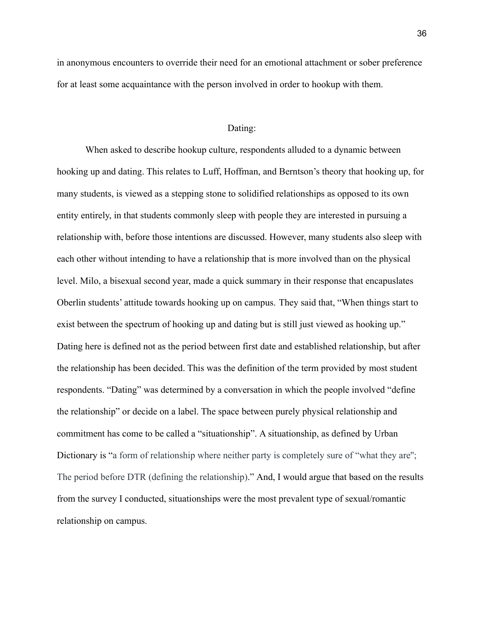in anonymous encounters to override their need for an emotional attachment or sober preference for at least some acquaintance with the person involved in order to hookup with them.

#### Dating:

When asked to describe hookup culture, respondents alluded to a dynamic between hooking up and dating. This relates to Luff, Hoffman, and Berntson's theory that hooking up, for many students, is viewed as a stepping stone to solidified relationships as opposed to its own entity entirely, in that students commonly sleep with people they are interested in pursuing a relationship with, before those intentions are discussed. However, many students also sleep with each other without intending to have a relationship that is more involved than on the physical level. Milo, a bisexual second year, made a quick summary in their response that encapuslates Oberlin students' attitude towards hooking up on campus. They said that, "When things start to exist between the spectrum of hooking up and dating but is still just viewed as hooking up." Dating here is defined not as the period between first date and established relationship, but after the relationship has been decided. This was the definition of the term provided by most student respondents. "Dating" was determined by a conversation in which the people involved "define the relationship" or decide on a label. The space between purely physical relationship and commitment has come to be called a "situationship". A situationship, as defined by Urban Dictionary is "a form of relationship where neither party is completely sure of "what they are"; The period before DTR (defining the relationship)." And, I would argue that based on the results from the survey I conducted, situationships were the most prevalent type of sexual/romantic relationship on campus.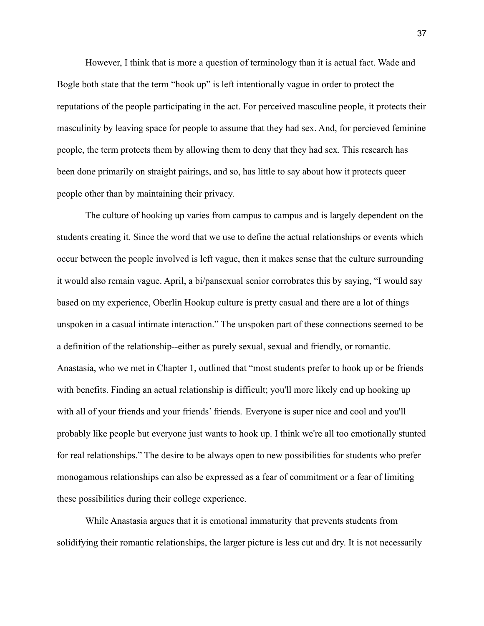However, I think that is more a question of terminology than it is actual fact. Wade and Bogle both state that the term "hook up" is left intentionally vague in order to protect the reputations of the people participating in the act. For perceived masculine people, it protects their masculinity by leaving space for people to assume that they had sex. And, for percieved feminine people, the term protects them by allowing them to deny that they had sex. This research has been done primarily on straight pairings, and so, has little to say about how it protects queer people other than by maintaining their privacy.

The culture of hooking up varies from campus to campus and is largely dependent on the students creating it. Since the word that we use to define the actual relationships or events which occur between the people involved is left vague, then it makes sense that the culture surrounding it would also remain vague. April, a bi/pansexual senior corrobrates this by saying, "I would say based on my experience, Oberlin Hookup culture is pretty casual and there are a lot of things unspoken in a casual intimate interaction." The unspoken part of these connections seemed to be a definition of the relationship--either as purely sexual, sexual and friendly, or romantic. Anastasia, who we met in Chapter 1, outlined that "most students prefer to hook up or be friends with benefits. Finding an actual relationship is difficult; you'll more likely end up hooking up with all of your friends and your friends' friends. Everyone is super nice and cool and you'll probably like people but everyone just wants to hook up. I think we're all too emotionally stunted for real relationships." The desire to be always open to new possibilities for students who prefer monogamous relationships can also be expressed as a fear of commitment or a fear of limiting these possibilities during their college experience.

While Anastasia argues that it is emotional immaturity that prevents students from solidifying their romantic relationships, the larger picture is less cut and dry. It is not necessarily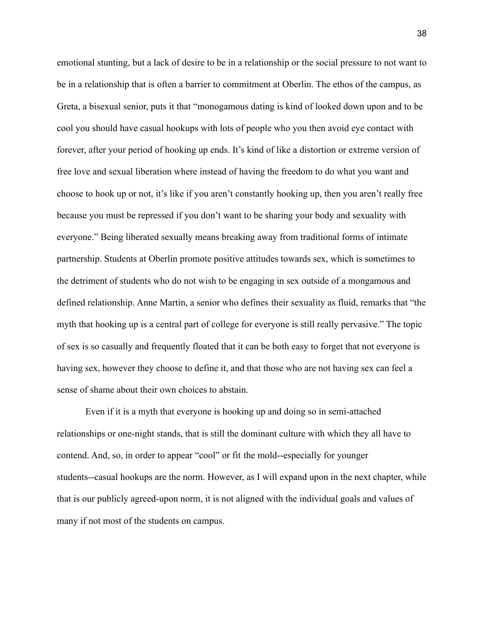emotional stunting, but a lack of desire to be in a relationship or the social pressure to not want to be in a relationship that is often a barrier to commitment at Oberlin. The ethos of the campus, as Greta, a bisexual senior, puts it that "monogamous dating is kind of looked down upon and to be cool you should have casual hookups with lots of people who you then avoid eye contact with forever, after your period of hooking up ends. It's kind of like a distortion or extreme version of free love and sexual liberation where instead of having the freedom to do what you want and choose to hook up or not, it's like if you aren't constantly hooking up, then you aren't really free because you must be repressed if you don't want to be sharing your body and sexuality with everyone." Being liberated sexually means breaking away from traditional forms of intimate partnership. Students at Oberlin promote positive attitudes towards sex, which is sometimes to the detriment of students who do not wish to be engaging in sex outside of a mongamous and defined relationship. Anne Martin, a senior who defines their sexuality as fluid, remarks that "the myth that hooking up is a central part of college for everyone is still really pervasive." The topic of sex is so casually and frequently floated that it can be both easy to forget that not everyone is having sex, however they choose to define it, and that those who are not having sex can feel a sense of shame about their own choices to abstain.

Even if it is a myth that everyone is hooking up and doing so in semi-attached relationships or one-night stands, that is still the dominant culture with which they all have to contend. And, so, in order to appear "cool" or fit the mold--especially for younger students--casual hookups are the norm. However, as I will expand upon in the next chapter, while that is our publicly agreed-upon norm, it is not aligned with the individual goals and values of many if not most of the students on campus.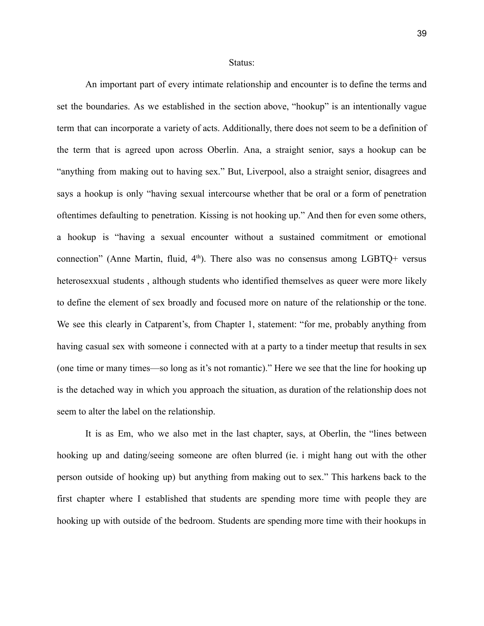Status:

An important part of every intimate relationship and encounter is to define the terms and set the boundaries. As we established in the section above, "hookup" is an intentionally vague term that can incorporate a variety of acts. Additionally, there does not seem to be a definition of the term that is agreed upon across Oberlin. Ana, a straight senior, says a hookup can be "anything from making out to having sex." But, Liverpool, also a straight senior, disagrees and says a hookup is only "having sexual intercourse whether that be oral or a form of penetration oftentimes defaulting to penetration. Kissing is not hooking up." And then for even some others, a hookup is "having a sexual encounter without a sustained commitment or emotional connection" (Anne Martin, fluid,  $4<sup>th</sup>$ ). There also was no consensus among LGBTQ+ versus heterosexxual students , although students who identified themselves as queer were more likely to define the element of sex broadly and focused more on nature of the relationship or the tone. We see this clearly in Catparent's, from Chapter 1, statement: "for me, probably anything from having casual sex with someone i connected with at a party to a tinder meetup that results in sex (one time or many times—so long as it's not romantic)." Here we see that the line for hooking up is the detached way in which you approach the situation, as duration of the relationship does not seem to alter the label on the relationship.

It is as Em, who we also met in the last chapter, says, at Oberlin, the "lines between hooking up and dating/seeing someone are often blurred (ie. i might hang out with the other person outside of hooking up) but anything from making out to sex." This harkens back to the first chapter where I established that students are spending more time with people they are hooking up with outside of the bedroom. Students are spending more time with their hookups in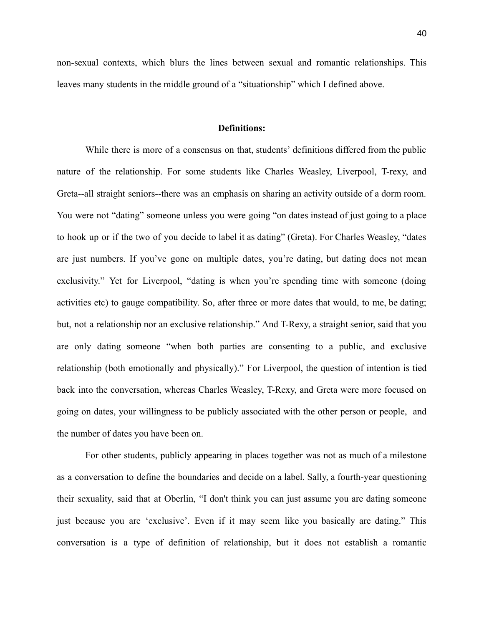non-sexual contexts, which blurs the lines between sexual and romantic relationships. This leaves many students in the middle ground of a "situationship" which I defined above.

#### **Definitions:**

While there is more of a consensus on that, students' definitions differed from the public nature of the relationship. For some students like Charles Weasley, Liverpool, T-rexy, and Greta--all straight seniors--there was an emphasis on sharing an activity outside of a dorm room. You were not "dating" someone unless you were going "on dates instead of just going to a place to hook up or if the two of you decide to label it as dating" (Greta). For Charles Weasley, "dates are just numbers. If you've gone on multiple dates, you're dating, but dating does not mean exclusivity." Yet for Liverpool, "dating is when you're spending time with someone (doing activities etc) to gauge compatibility. So, after three or more dates that would, to me, be dating; but, not a relationship nor an exclusive relationship." And T-Rexy, a straight senior, said that you are only dating someone "when both parties are consenting to a public, and exclusive relationship (both emotionally and physically)." For Liverpool, the question of intention is tied back into the conversation, whereas Charles Weasley, T-Rexy, and Greta were more focused on going on dates, your willingness to be publicly associated with the other person or people, and the number of dates you have been on.

For other students, publicly appearing in places together was not as much of a milestone as a conversation to define the boundaries and decide on a label. Sally, a fourth-year questioning their sexuality, said that at Oberlin, "I don't think you can just assume you are dating someone just because you are 'exclusive'. Even if it may seem like you basically are dating." This conversation is a type of definition of relationship, but it does not establish a romantic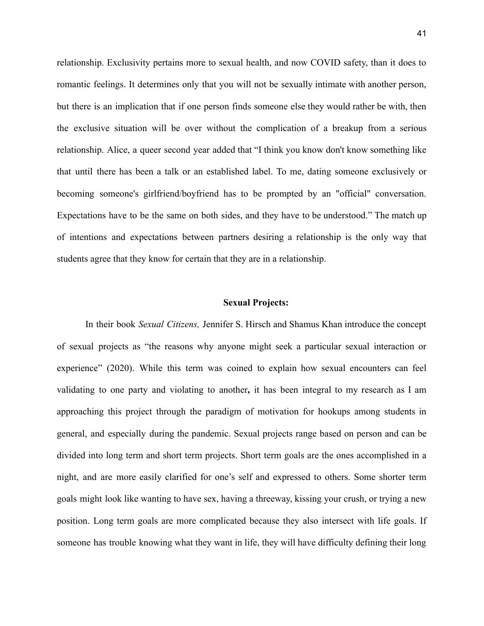relationship. Exclusivity pertains more to sexual health, and now COVID safety, than it does to romantic feelings. It determines only that you will not be sexually intimate with another person, but there is an implication that if one person finds someone else they would rather be with, then the exclusive situation will be over without the complication of a breakup from a serious relationship. Alice, a queer second year added that "I think you know don't know something like that until there has been a talk or an established label. To me, dating someone exclusively or becoming someone's girlfriend/boyfriend has to be prompted by an "official" conversation. Expectations have to be the same on both sides, and they have to be understood." The match up of intentions and expectations between partners desiring a relationship is the only way that students agree that they know for certain that they are in a relationship.

#### **Sexual Projects:**

In their book *Sexual Citizens,* Jennifer S. Hirsch and Shamus Khan introduce the concept of sexual projects as "the reasons why anyone might seek a particular sexual interaction or experience" (2020). While this term was coined to explain how sexual encounters can feel validating to one party and violating to another**,** it has been integral to my research as I am approaching this project through the paradigm of motivation for hookups among students in general, and especially during the pandemic. Sexual projects range based on person and can be divided into long term and short term projects. Short term goals are the ones accomplished in a night, and are more easily clarified for one's self and expressed to others. Some shorter term goals might look like wanting to have sex, having a threeway, kissing your crush, or trying a new position. Long term goals are more complicated because they also intersect with life goals. If someone has trouble knowing what they want in life, they will have difficulty defining their long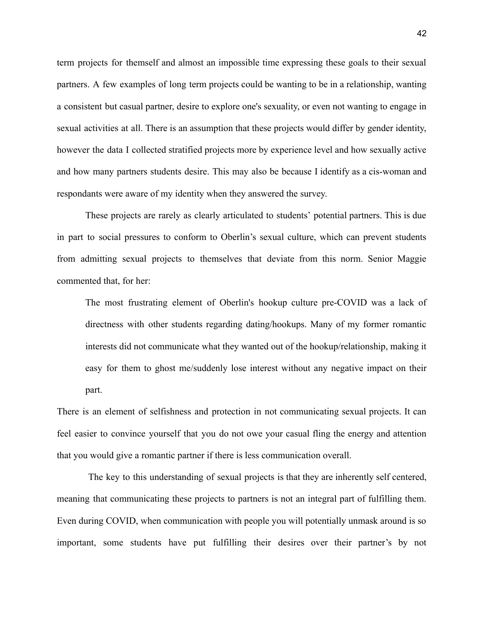term projects for themself and almost an impossible time expressing these goals to their sexual partners. A few examples of long term projects could be wanting to be in a relationship, wanting a consistent but casual partner, desire to explore one's sexuality, or even not wanting to engage in sexual activities at all. There is an assumption that these projects would differ by gender identity, however the data I collected stratified projects more by experience level and how sexually active and how many partners students desire. This may also be because I identify as a cis-woman and respondants were aware of my identity when they answered the survey.

These projects are rarely as clearly articulated to students' potential partners. This is due in part to social pressures to conform to Oberlin's sexual culture, which can prevent students from admitting sexual projects to themselves that deviate from this norm. Senior Maggie commented that, for her:

The most frustrating element of Oberlin's hookup culture pre-COVID was a lack of directness with other students regarding dating/hookups. Many of my former romantic interests did not communicate what they wanted out of the hookup/relationship, making it easy for them to ghost me/suddenly lose interest without any negative impact on their part.

There is an element of selfishness and protection in not communicating sexual projects. It can feel easier to convince yourself that you do not owe your casual fling the energy and attention that you would give a romantic partner if there is less communication overall.

The key to this understanding of sexual projects is that they are inherently self centered, meaning that communicating these projects to partners is not an integral part of fulfilling them. Even during COVID, when communication with people you will potentially unmask around is so important, some students have put fulfilling their desires over their partner's by not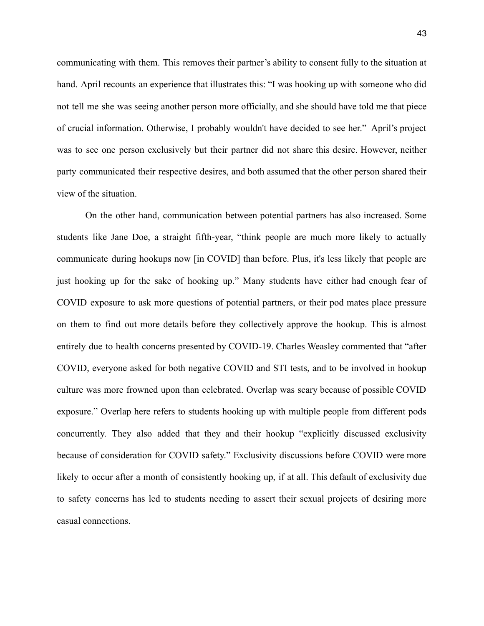communicating with them. This removes their partner's ability to consent fully to the situation at hand. April recounts an experience that illustrates this: "I was hooking up with someone who did not tell me she was seeing another person more officially, and she should have told me that piece of crucial information. Otherwise, I probably wouldn't have decided to see her." April's project was to see one person exclusively but their partner did not share this desire. However, neither party communicated their respective desires, and both assumed that the other person shared their view of the situation.

On the other hand, communication between potential partners has also increased. Some students like Jane Doe, a straight fifth-year, "think people are much more likely to actually communicate during hookups now [in COVID] than before. Plus, it's less likely that people are just hooking up for the sake of hooking up." Many students have either had enough fear of COVID exposure to ask more questions of potential partners, or their pod mates place pressure on them to find out more details before they collectively approve the hookup. This is almost entirely due to health concerns presented by COVID-19. Charles Weasley commented that "after COVID, everyone asked for both negative COVID and STI tests, and to be involved in hookup culture was more frowned upon than celebrated. Overlap was scary because of possible COVID exposure." Overlap here refers to students hooking up with multiple people from different pods concurrently. They also added that they and their hookup "explicitly discussed exclusivity because of consideration for COVID safety." Exclusivity discussions before COVID were more likely to occur after a month of consistently hooking up, if at all. This default of exclusivity due to safety concerns has led to students needing to assert their sexual projects of desiring more casual connections.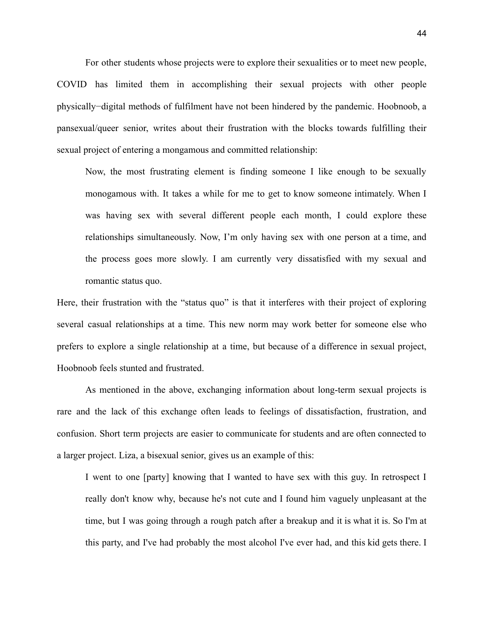For other students whose projects were to explore their sexualities or to meet new people, COVID has limited them in accomplishing their sexual projects with other people physically−digital methods of fulfilment have not been hindered by the pandemic. Hoobnoob, a pansexual/queer senior, writes about their frustration with the blocks towards fulfilling their sexual project of entering a mongamous and committed relationship:

Now, the most frustrating element is finding someone I like enough to be sexually monogamous with. It takes a while for me to get to know someone intimately. When I was having sex with several different people each month, I could explore these relationships simultaneously. Now, I'm only having sex with one person at a time, and the process goes more slowly. I am currently very dissatisfied with my sexual and romantic status quo.

Here, their frustration with the "status quo" is that it interferes with their project of exploring several casual relationships at a time. This new norm may work better for someone else who prefers to explore a single relationship at a time, but because of a difference in sexual project, Hoobnoob feels stunted and frustrated.

As mentioned in the above, exchanging information about long-term sexual projects is rare and the lack of this exchange often leads to feelings of dissatisfaction, frustration, and confusion. Short term projects are easier to communicate for students and are often connected to a larger project. Liza, a bisexual senior, gives us an example of this:

I went to one [party] knowing that I wanted to have sex with this guy. In retrospect I really don't know why, because he's not cute and I found him vaguely unpleasant at the time, but I was going through a rough patch after a breakup and it is what it is. So I'm at this party, and I've had probably the most alcohol I've ever had, and this kid gets there. I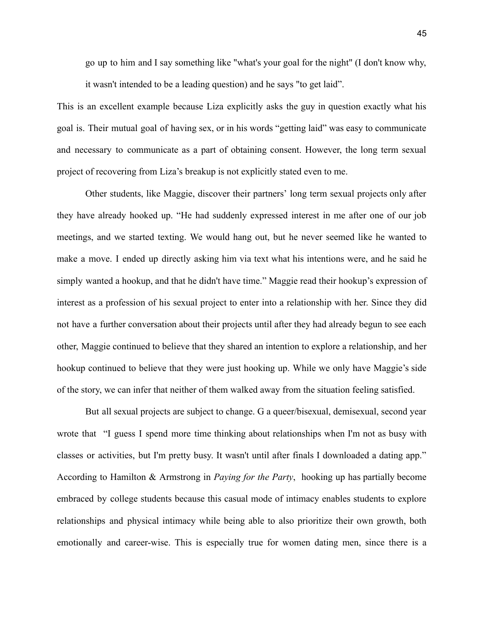go up to him and I say something like "what's your goal for the night" (I don't know why, it wasn't intended to be a leading question) and he says "to get laid".

This is an excellent example because Liza explicitly asks the guy in question exactly what his goal is. Their mutual goal of having sex, or in his words "getting laid" was easy to communicate and necessary to communicate as a part of obtaining consent. However, the long term sexual project of recovering from Liza's breakup is not explicitly stated even to me.

Other students, like Maggie, discover their partners' long term sexual projects only after they have already hooked up. "He had suddenly expressed interest in me after one of our job meetings, and we started texting. We would hang out, but he never seemed like he wanted to make a move. I ended up directly asking him via text what his intentions were, and he said he simply wanted a hookup, and that he didn't have time." Maggie read their hookup's expression of interest as a profession of his sexual project to enter into a relationship with her. Since they did not have a further conversation about their projects until after they had already begun to see each other, Maggie continued to believe that they shared an intention to explore a relationship, and her hookup continued to believe that they were just hooking up. While we only have Maggie's side of the story, we can infer that neither of them walked away from the situation feeling satisfied.

But all sexual projects are subject to change. G a queer/bisexual, demisexual, second year wrote that "I guess I spend more time thinking about relationships when I'm not as busy with classes or activities, but I'm pretty busy. It wasn't until after finals I downloaded a dating app." According to Hamilton & Armstrong in *Paying for the Party*, hooking up has partially become embraced by college students because this casual mode of intimacy enables students to explore relationships and physical intimacy while being able to also prioritize their own growth, both emotionally and career-wise. This is especially true for women dating men, since there is a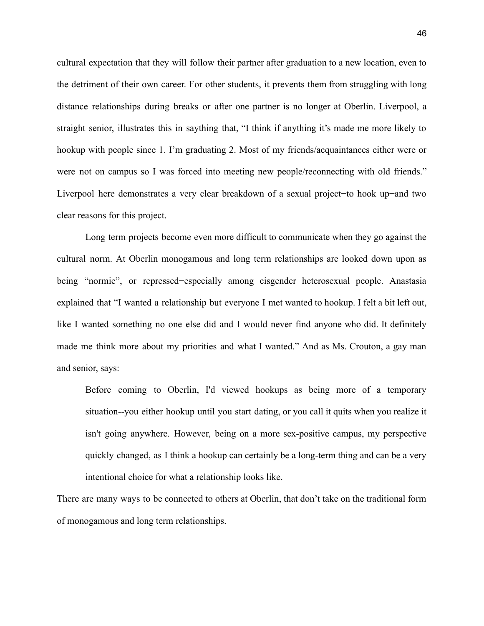cultural expectation that they will follow their partner after graduation to a new location, even to the detriment of their own career. For other students, it prevents them from struggling with long distance relationships during breaks or after one partner is no longer at Oberlin. Liverpool, a straight senior, illustrates this in saything that, "I think if anything it's made me more likely to hookup with people since 1. I'm graduating 2. Most of my friends/acquaintances either were or were not on campus so I was forced into meeting new people/reconnecting with old friends." Liverpool here demonstrates a very clear breakdown of a sexual project−to hook up−and two clear reasons for this project.

Long term projects become even more difficult to communicate when they go against the cultural norm. At Oberlin monogamous and long term relationships are looked down upon as being "normie", or repressed−especially among cisgender heterosexual people. Anastasia explained that "I wanted a relationship but everyone I met wanted to hookup. I felt a bit left out, like I wanted something no one else did and I would never find anyone who did. It definitely made me think more about my priorities and what I wanted." And as Ms. Crouton, a gay man and senior, says:

Before coming to Oberlin, I'd viewed hookups as being more of a temporary situation--you either hookup until you start dating, or you call it quits when you realize it isn't going anywhere. However, being on a more sex-positive campus, my perspective quickly changed, as I think a hookup can certainly be a long-term thing and can be a very intentional choice for what a relationship looks like.

There are many ways to be connected to others at Oberlin, that don't take on the traditional form of monogamous and long term relationships.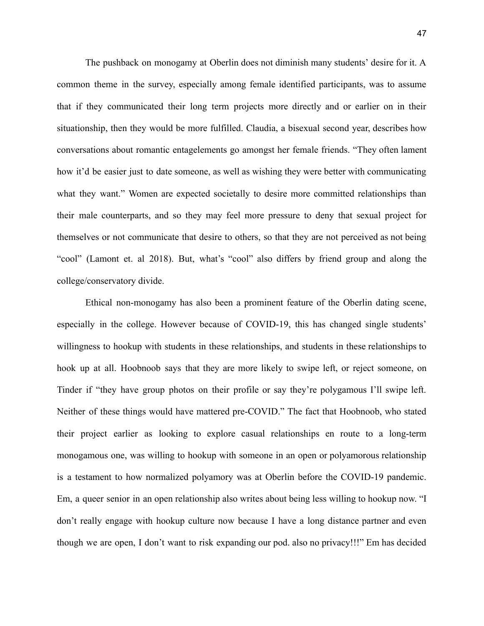The pushback on monogamy at Oberlin does not diminish many students' desire for it. A common theme in the survey, especially among female identified participants, was to assume that if they communicated their long term projects more directly and or earlier on in their situationship, then they would be more fulfilled. Claudia, a bisexual second year, describes how conversations about romantic entagelements go amongst her female friends. "They often lament how it'd be easier just to date someone, as well as wishing they were better with communicating what they want." Women are expected societally to desire more committed relationships than their male counterparts, and so they may feel more pressure to deny that sexual project for themselves or not communicate that desire to others, so that they are not perceived as not being "cool" (Lamont et. al 2018). But, what's "cool" also differs by friend group and along the college/conservatory divide.

Ethical non-monogamy has also been a prominent feature of the Oberlin dating scene, especially in the college. However because of COVID-19, this has changed single students' willingness to hookup with students in these relationships, and students in these relationships to hook up at all. Hoobnoob says that they are more likely to swipe left, or reject someone, on Tinder if "they have group photos on their profile or say they're polygamous I'll swipe left. Neither of these things would have mattered pre-COVID." The fact that Hoobnoob, who stated their project earlier as looking to explore casual relationships en route to a long-term monogamous one, was willing to hookup with someone in an open or polyamorous relationship is a testament to how normalized polyamory was at Oberlin before the COVID-19 pandemic. Em, a queer senior in an open relationship also writes about being less willing to hookup now. "I don't really engage with hookup culture now because I have a long distance partner and even though we are open, I don't want to risk expanding our pod. also no privacy!!!" Em has decided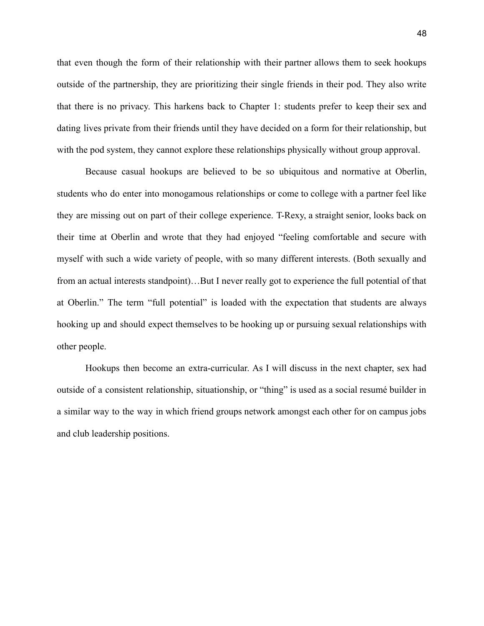that even though the form of their relationship with their partner allows them to seek hookups outside of the partnership, they are prioritizing their single friends in their pod. They also write that there is no privacy. This harkens back to Chapter 1: students prefer to keep their sex and dating lives private from their friends until they have decided on a form for their relationship, but with the pod system, they cannot explore these relationships physically without group approval.

Because casual hookups are believed to be so ubiquitous and normative at Oberlin, students who do enter into monogamous relationships or come to college with a partner feel like they are missing out on part of their college experience. T-Rexy, a straight senior, looks back on their time at Oberlin and wrote that they had enjoyed "feeling comfortable and secure with myself with such a wide variety of people, with so many different interests. (Both sexually and from an actual interests standpoint)…But I never really got to experience the full potential of that at Oberlin." The term "full potential" is loaded with the expectation that students are always hooking up and should expect themselves to be hooking up or pursuing sexual relationships with other people.

Hookups then become an extra-curricular. As I will discuss in the next chapter, sex had outside of a consistent relationship, situationship, or "thing" is used as a social resumé builder in a similar way to the way in which friend groups network amongst each other for on campus jobs and club leadership positions.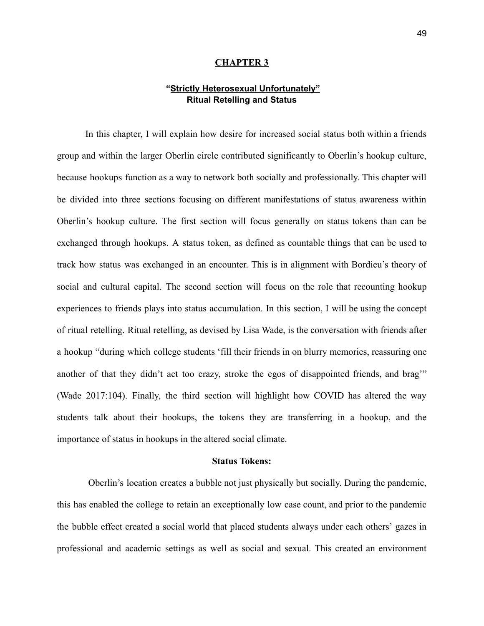#### **CHAPTER 3**

### **"Strictly Heterosexual Unfortunately" Ritual Retelling and Status**

In this chapter, I will explain how desire for increased social status both within a friends group and within the larger Oberlin circle contributed significantly to Oberlin's hookup culture, because hookups function as a way to network both socially and professionally. This chapter will be divided into three sections focusing on different manifestations of status awareness within Oberlin's hookup culture. The first section will focus generally on status tokens than can be exchanged through hookups. A status token, as defined as countable things that can be used to track how status was exchanged in an encounter. This is in alignment with Bordieu's theory of social and cultural capital. The second section will focus on the role that recounting hookup experiences to friends plays into status accumulation. In this section, I will be using the concept of ritual retelling. Ritual retelling, as devised by Lisa Wade, is the conversation with friends after a hookup "during which college students 'fill their friends in on blurry memories, reassuring one another of that they didn't act too crazy, stroke the egos of disappointed friends, and brag'" (Wade 2017:104). Finally, the third section will highlight how COVID has altered the way students talk about their hookups, the tokens they are transferring in a hookup, and the importance of status in hookups in the altered social climate.

#### **Status Tokens:**

Oberlin's location creates a bubble not just physically but socially. During the pandemic, this has enabled the college to retain an exceptionally low case count, and prior to the pandemic the bubble effect created a social world that placed students always under each others' gazes in professional and academic settings as well as social and sexual. This created an environment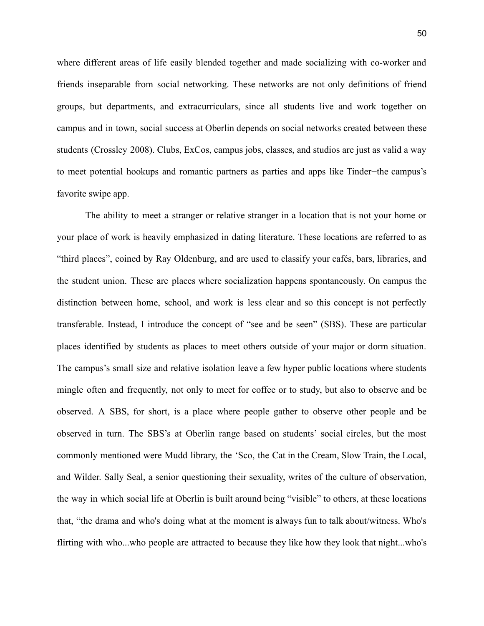where different areas of life easily blended together and made socializing with co-worker and friends inseparable from social networking. These networks are not only definitions of friend groups, but departments, and extracurriculars, since all students live and work together on campus and in town, social success at Oberlin depends on social networks created between these students (Crossley 2008). Clubs, ExCos, campus jobs, classes, and studios are just as valid a way to meet potential hookups and romantic partners as parties and apps like Tinder−the campus's favorite swipe app.

The ability to meet a stranger or relative stranger in a location that is not your home or your place of work is heavily emphasized in dating literature. These locations are referred to as "third places", coined by Ray Oldenburg, and are used to classify your cafés, bars, libraries, and the student union. These are places where socialization happens spontaneously. On campus the distinction between home, school, and work is less clear and so this concept is not perfectly transferable. Instead, I introduce the concept of "see and be seen" (SBS). These are particular places identified by students as places to meet others outside of your major or dorm situation. The campus's small size and relative isolation leave a few hyper public locations where students mingle often and frequently, not only to meet for coffee or to study, but also to observe and be observed. A SBS, for short, is a place where people gather to observe other people and be observed in turn. The SBS's at Oberlin range based on students' social circles, but the most commonly mentioned were Mudd library, the 'Sco, the Cat in the Cream, Slow Train, the Local, and Wilder. Sally Seal, a senior questioning their sexuality, writes of the culture of observation, the way in which social life at Oberlin is built around being "visible" to others, at these locations that, "the drama and who's doing what at the moment is always fun to talk about/witness. Who's flirting with who...who people are attracted to because they like how they look that night...who's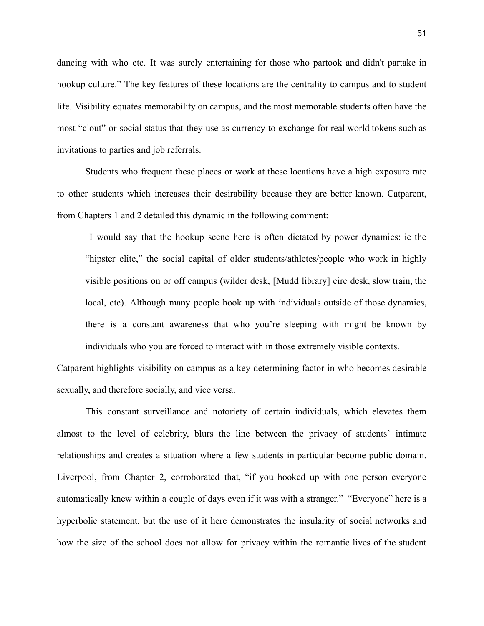dancing with who etc. It was surely entertaining for those who partook and didn't partake in hookup culture." The key features of these locations are the centrality to campus and to student life. Visibility equates memorability on campus, and the most memorable students often have the most "clout" or social status that they use as currency to exchange for real world tokens such as invitations to parties and job referrals.

Students who frequent these places or work at these locations have a high exposure rate to other students which increases their desirability because they are better known. Catparent, from Chapters 1 and 2 detailed this dynamic in the following comment:

I would say that the hookup scene here is often dictated by power dynamics: ie the "hipster elite," the social capital of older students/athletes/people who work in highly visible positions on or off campus (wilder desk, [Mudd library] circ desk, slow train, the local, etc). Although many people hook up with individuals outside of those dynamics, there is a constant awareness that who you're sleeping with might be known by individuals who you are forced to interact with in those extremely visible contexts.

Catparent highlights visibility on campus as a key determining factor in who becomes desirable sexually, and therefore socially, and vice versa.

This constant surveillance and notoriety of certain individuals, which elevates them almost to the level of celebrity, blurs the line between the privacy of students' intimate relationships and creates a situation where a few students in particular become public domain. Liverpool, from Chapter 2, corroborated that, "if you hooked up with one person everyone automatically knew within a couple of days even if it was with a stranger." "Everyone" here is a hyperbolic statement, but the use of it here demonstrates the insularity of social networks and how the size of the school does not allow for privacy within the romantic lives of the student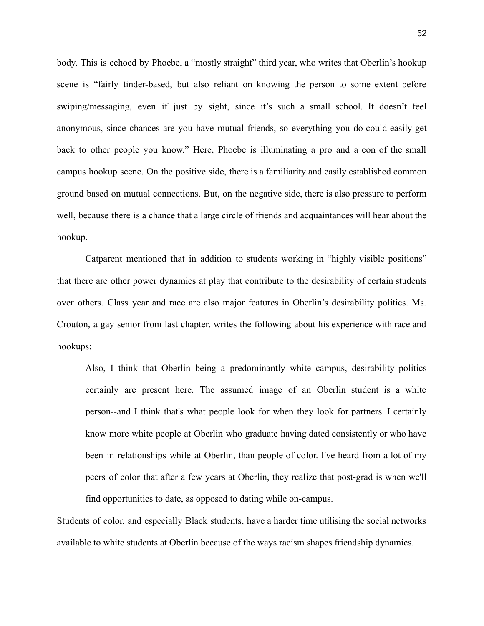body. This is echoed by Phoebe, a "mostly straight" third year, who writes that Oberlin's hookup scene is "fairly tinder-based, but also reliant on knowing the person to some extent before swiping/messaging, even if just by sight, since it's such a small school. It doesn't feel anonymous, since chances are you have mutual friends, so everything you do could easily get back to other people you know." Here, Phoebe is illuminating a pro and a con of the small campus hookup scene. On the positive side, there is a familiarity and easily established common ground based on mutual connections. But, on the negative side, there is also pressure to perform well, because there is a chance that a large circle of friends and acquaintances will hear about the hookup.

Catparent mentioned that in addition to students working in "highly visible positions" that there are other power dynamics at play that contribute to the desirability of certain students over others. Class year and race are also major features in Oberlin's desirability politics. Ms. Crouton, a gay senior from last chapter, writes the following about his experience with race and hookups:

Also, I think that Oberlin being a predominantly white campus, desirability politics certainly are present here. The assumed image of an Oberlin student is a white person--and I think that's what people look for when they look for partners. I certainly know more white people at Oberlin who graduate having dated consistently or who have been in relationships while at Oberlin, than people of color. I've heard from a lot of my peers of color that after a few years at Oberlin, they realize that post-grad is when we'll find opportunities to date, as opposed to dating while on-campus.

Students of color, and especially Black students, have a harder time utilising the social networks available to white students at Oberlin because of the ways racism shapes friendship dynamics.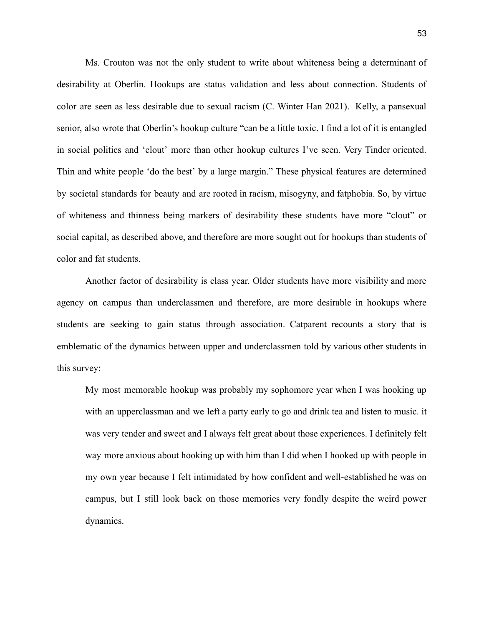Ms. Crouton was not the only student to write about whiteness being a determinant of desirability at Oberlin. Hookups are status validation and less about connection. Students of color are seen as less desirable due to sexual racism (C. Winter Han 2021). Kelly, a pansexual senior, also wrote that Oberlin's hookup culture "can be a little toxic. I find a lot of it is entangled in social politics and 'clout' more than other hookup cultures I've seen. Very Tinder oriented. Thin and white people 'do the best' by a large margin." These physical features are determined by societal standards for beauty and are rooted in racism, misogyny, and fatphobia. So, by virtue of whiteness and thinness being markers of desirability these students have more "clout" or social capital, as described above, and therefore are more sought out for hookups than students of color and fat students.

Another factor of desirability is class year. Older students have more visibility and more agency on campus than underclassmen and therefore, are more desirable in hookups where students are seeking to gain status through association. Catparent recounts a story that is emblematic of the dynamics between upper and underclassmen told by various other students in this survey:

My most memorable hookup was probably my sophomore year when I was hooking up with an upperclassman and we left a party early to go and drink tea and listen to music. it was very tender and sweet and I always felt great about those experiences. I definitely felt way more anxious about hooking up with him than I did when I hooked up with people in my own year because I felt intimidated by how confident and well-established he was on campus, but I still look back on those memories very fondly despite the weird power dynamics.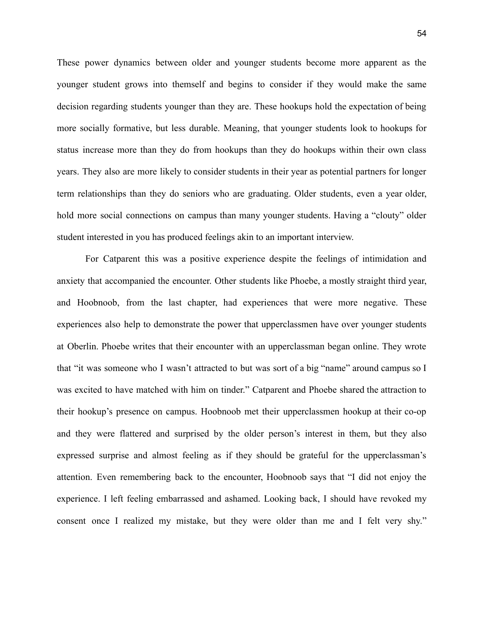These power dynamics between older and younger students become more apparent as the younger student grows into themself and begins to consider if they would make the same decision regarding students younger than they are. These hookups hold the expectation of being more socially formative, but less durable. Meaning, that younger students look to hookups for status increase more than they do from hookups than they do hookups within their own class years. They also are more likely to consider students in their year as potential partners for longer term relationships than they do seniors who are graduating. Older students, even a year older, hold more social connections on campus than many younger students. Having a "clouty" older student interested in you has produced feelings akin to an important interview.

For Catparent this was a positive experience despite the feelings of intimidation and anxiety that accompanied the encounter. Other students like Phoebe, a mostly straight third year, and Hoobnoob, from the last chapter, had experiences that were more negative. These experiences also help to demonstrate the power that upperclassmen have over younger students at Oberlin. Phoebe writes that their encounter with an upperclassman began online. They wrote that "it was someone who I wasn't attracted to but was sort of a big "name" around campus so I was excited to have matched with him on tinder." Catparent and Phoebe shared the attraction to their hookup's presence on campus. Hoobnoob met their upperclassmen hookup at their co-op and they were flattered and surprised by the older person's interest in them, but they also expressed surprise and almost feeling as if they should be grateful for the upperclassman's attention. Even remembering back to the encounter, Hoobnoob says that "I did not enjoy the experience. I left feeling embarrassed and ashamed. Looking back, I should have revoked my consent once I realized my mistake, but they were older than me and I felt very shy."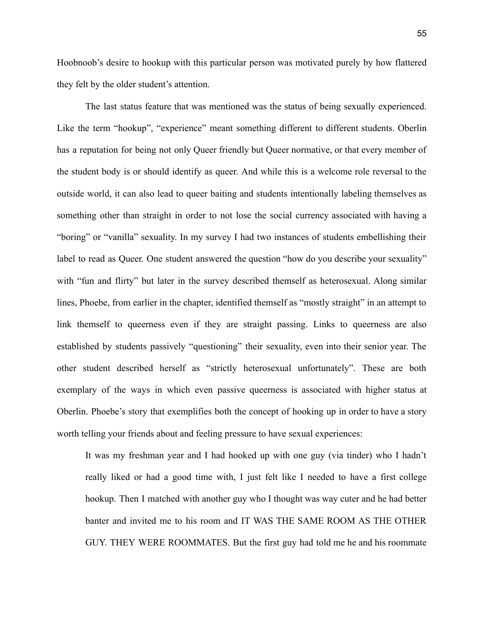Hoobnoob's desire to hookup with this particular person was motivated purely by how flattered they felt by the older student's attention.

The last status feature that was mentioned was the status of being sexually experienced. Like the term "hookup", "experience" meant something different to different students. Oberlin has a reputation for being not only Queer friendly but Queer normative, or that every member of the student body is or should identify as queer. And while this is a welcome role reversal to the outside world, it can also lead to queer baiting and students intentionally labeling themselves as something other than straight in order to not lose the social currency associated with having a "boring" or "vanilla" sexuality. In my survey I had two instances of students embellishing their label to read as Queer. One student answered the question "how do you describe your sexuality" with "fun and flirty" but later in the survey described themself as heterosexual. Along similar lines, Phoebe, from earlier in the chapter, identified themself as "mostly straight" in an attempt to link themself to queerness even if they are straight passing. Links to queerness are also established by students passively "questioning" their sexuality, even into their senior year. The other student described herself as "strictly heterosexual unfortunately". These are both exemplary of the ways in which even passive queerness is associated with higher status at Oberlin. Phoebe's story that exemplifies both the concept of hooking up in order to have a story worth telling your friends about and feeling pressure to have sexual experiences:

It was my freshman year and I had hooked up with one guy (via tinder) who I hadn't really liked or had a good time with, I just felt like I needed to have a first college hookup. Then I matched with another guy who I thought was way cuter and he had better banter and invited me to his room and IT WAS THE SAME ROOM AS THE OTHER GUY. THEY WERE ROOMMATES. But the first guy had told me he and his roommate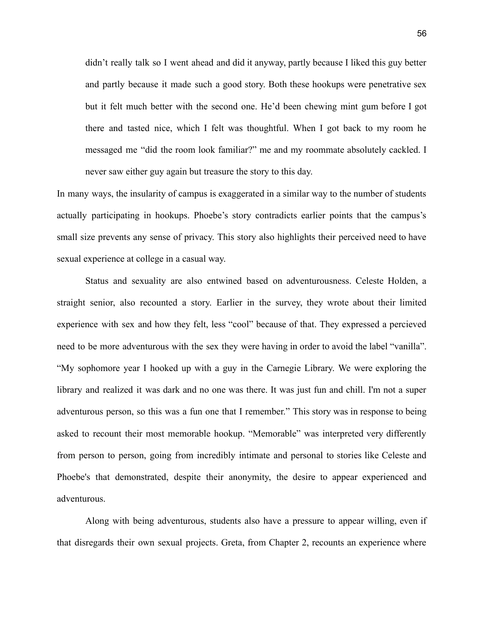didn't really talk so I went ahead and did it anyway, partly because I liked this guy better and partly because it made such a good story. Both these hookups were penetrative sex but it felt much better with the second one. He'd been chewing mint gum before I got there and tasted nice, which I felt was thoughtful. When I got back to my room he messaged me "did the room look familiar?" me and my roommate absolutely cackled. I never saw either guy again but treasure the story to this day.

In many ways, the insularity of campus is exaggerated in a similar way to the number of students actually participating in hookups. Phoebe's story contradicts earlier points that the campus's small size prevents any sense of privacy. This story also highlights their perceived need to have sexual experience at college in a casual way.

Status and sexuality are also entwined based on adventurousness. Celeste Holden, a straight senior, also recounted a story. Earlier in the survey, they wrote about their limited experience with sex and how they felt, less "cool" because of that. They expressed a percieved need to be more adventurous with the sex they were having in order to avoid the label "vanilla". "My sophomore year I hooked up with a guy in the Carnegie Library. We were exploring the library and realized it was dark and no one was there. It was just fun and chill. I'm not a super adventurous person, so this was a fun one that I remember." This story was in response to being asked to recount their most memorable hookup. "Memorable" was interpreted very differently from person to person, going from incredibly intimate and personal to stories like Celeste and Phoebe's that demonstrated, despite their anonymity, the desire to appear experienced and adventurous.

Along with being adventurous, students also have a pressure to appear willing, even if that disregards their own sexual projects. Greta, from Chapter 2, recounts an experience where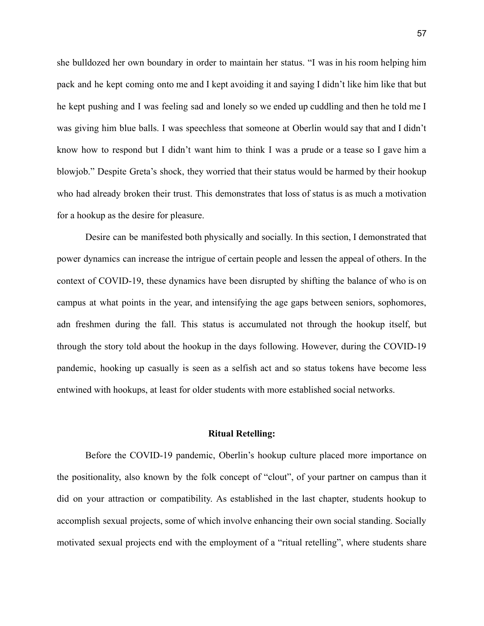she bulldozed her own boundary in order to maintain her status. "I was in his room helping him pack and he kept coming onto me and I kept avoiding it and saying I didn't like him like that but he kept pushing and I was feeling sad and lonely so we ended up cuddling and then he told me I was giving him blue balls. I was speechless that someone at Oberlin would say that and I didn't know how to respond but I didn't want him to think I was a prude or a tease so I gave him a blowjob." Despite Greta's shock, they worried that their status would be harmed by their hookup who had already broken their trust. This demonstrates that loss of status is as much a motivation for a hookup as the desire for pleasure.

Desire can be manifested both physically and socially. In this section, I demonstrated that power dynamics can increase the intrigue of certain people and lessen the appeal of others. In the context of COVID-19, these dynamics have been disrupted by shifting the balance of who is on campus at what points in the year, and intensifying the age gaps between seniors, sophomores, adn freshmen during the fall. This status is accumulated not through the hookup itself, but through the story told about the hookup in the days following. However, during the COVID-19 pandemic, hooking up casually is seen as a selfish act and so status tokens have become less entwined with hookups, at least for older students with more established social networks.

#### **Ritual Retelling:**

Before the COVID-19 pandemic, Oberlin's hookup culture placed more importance on the positionality, also known by the folk concept of "clout", of your partner on campus than it did on your attraction or compatibility. As established in the last chapter, students hookup to accomplish sexual projects, some of which involve enhancing their own social standing. Socially motivated sexual projects end with the employment of a "ritual retelling", where students share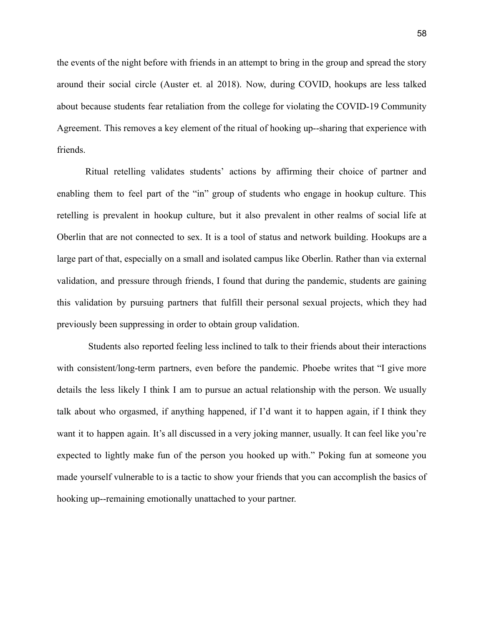the events of the night before with friends in an attempt to bring in the group and spread the story around their social circle (Auster et. al 2018). Now, during COVID, hookups are less talked about because students fear retaliation from the college for violating the COVID-19 Community Agreement. This removes a key element of the ritual of hooking up--sharing that experience with friends.

Ritual retelling validates students' actions by affirming their choice of partner and enabling them to feel part of the "in" group of students who engage in hookup culture. This retelling is prevalent in hookup culture, but it also prevalent in other realms of social life at Oberlin that are not connected to sex. It is a tool of status and network building. Hookups are a large part of that, especially on a small and isolated campus like Oberlin. Rather than via external validation, and pressure through friends, I found that during the pandemic, students are gaining this validation by pursuing partners that fulfill their personal sexual projects, which they had previously been suppressing in order to obtain group validation.

Students also reported feeling less inclined to talk to their friends about their interactions with consistent/long-term partners, even before the pandemic. Phoebe writes that "I give more details the less likely I think I am to pursue an actual relationship with the person. We usually talk about who orgasmed, if anything happened, if I'd want it to happen again, if I think they want it to happen again. It's all discussed in a very joking manner, usually. It can feel like you're expected to lightly make fun of the person you hooked up with." Poking fun at someone you made yourself vulnerable to is a tactic to show your friends that you can accomplish the basics of hooking up--remaining emotionally unattached to your partner.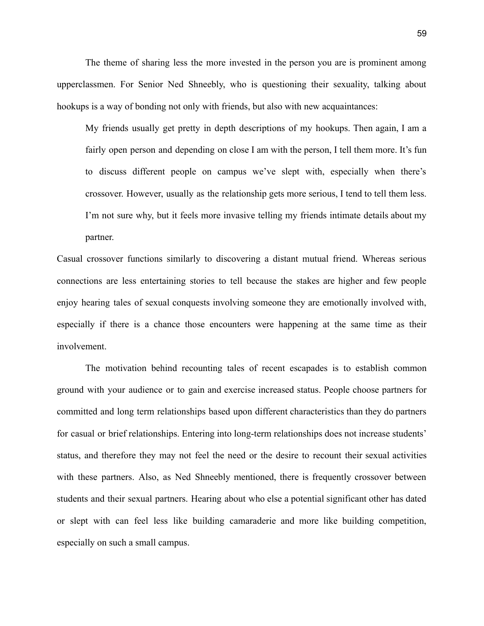The theme of sharing less the more invested in the person you are is prominent among upperclassmen. For Senior Ned Shneebly, who is questioning their sexuality, talking about hookups is a way of bonding not only with friends, but also with new acquaintances:

My friends usually get pretty in depth descriptions of my hookups. Then again, I am a fairly open person and depending on close I am with the person, I tell them more. It's fun to discuss different people on campus we've slept with, especially when there's crossover. However, usually as the relationship gets more serious, I tend to tell them less. I'm not sure why, but it feels more invasive telling my friends intimate details about my partner.

Casual crossover functions similarly to discovering a distant mutual friend. Whereas serious connections are less entertaining stories to tell because the stakes are higher and few people enjoy hearing tales of sexual conquests involving someone they are emotionally involved with, especially if there is a chance those encounters were happening at the same time as their involvement.

The motivation behind recounting tales of recent escapades is to establish common ground with your audience or to gain and exercise increased status. People choose partners for committed and long term relationships based upon different characteristics than they do partners for casual or brief relationships. Entering into long-term relationships does not increase students' status, and therefore they may not feel the need or the desire to recount their sexual activities with these partners. Also, as Ned Shneebly mentioned, there is frequently crossover between students and their sexual partners. Hearing about who else a potential significant other has dated or slept with can feel less like building camaraderie and more like building competition, especially on such a small campus.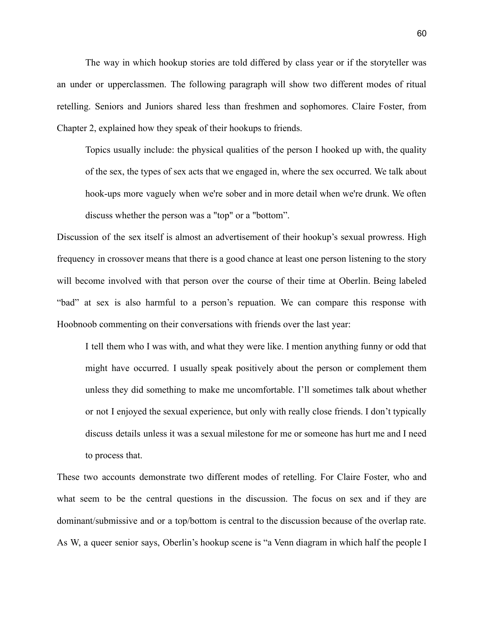The way in which hookup stories are told differed by class year or if the storyteller was an under or upperclassmen. The following paragraph will show two different modes of ritual retelling. Seniors and Juniors shared less than freshmen and sophomores. Claire Foster, from Chapter 2, explained how they speak of their hookups to friends.

Topics usually include: the physical qualities of the person I hooked up with, the quality of the sex, the types of sex acts that we engaged in, where the sex occurred. We talk about hook-ups more vaguely when we're sober and in more detail when we're drunk. We often discuss whether the person was a "top" or a "bottom".

Discussion of the sex itself is almost an advertisement of their hookup's sexual prowress. High frequency in crossover means that there is a good chance at least one person listening to the story will become involved with that person over the course of their time at Oberlin. Being labeled "bad" at sex is also harmful to a person's repuation. We can compare this response with Hoobnoob commenting on their conversations with friends over the last year:

I tell them who I was with, and what they were like. I mention anything funny or odd that might have occurred. I usually speak positively about the person or complement them unless they did something to make me uncomfortable. I'll sometimes talk about whether or not I enjoyed the sexual experience, but only with really close friends. I don't typically discuss details unless it was a sexual milestone for me or someone has hurt me and I need to process that.

These two accounts demonstrate two different modes of retelling. For Claire Foster, who and what seem to be the central questions in the discussion. The focus on sex and if they are dominant/submissive and or a top/bottom is central to the discussion because of the overlap rate. As W, a queer senior says, Oberlin's hookup scene is "a Venn diagram in which half the people I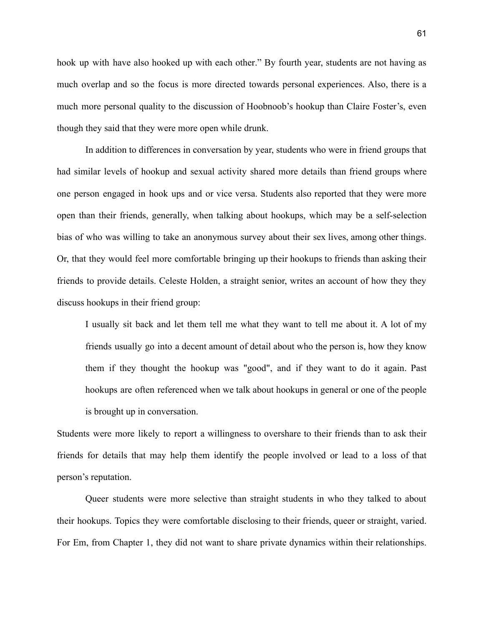hook up with have also hooked up with each other." By fourth year, students are not having as much overlap and so the focus is more directed towards personal experiences. Also, there is a much more personal quality to the discussion of Hoobnoob's hookup than Claire Foster's, even though they said that they were more open while drunk.

In addition to differences in conversation by year, students who were in friend groups that had similar levels of hookup and sexual activity shared more details than friend groups where one person engaged in hook ups and or vice versa. Students also reported that they were more open than their friends, generally, when talking about hookups, which may be a self-selection bias of who was willing to take an anonymous survey about their sex lives, among other things. Or, that they would feel more comfortable bringing up their hookups to friends than asking their friends to provide details. Celeste Holden, a straight senior, writes an account of how they they discuss hookups in their friend group:

I usually sit back and let them tell me what they want to tell me about it. A lot of my friends usually go into a decent amount of detail about who the person is, how they know them if they thought the hookup was "good", and if they want to do it again. Past hookups are often referenced when we talk about hookups in general or one of the people is brought up in conversation.

Students were more likely to report a willingness to overshare to their friends than to ask their friends for details that may help them identify the people involved or lead to a loss of that person's reputation.

Queer students were more selective than straight students in who they talked to about their hookups. Topics they were comfortable disclosing to their friends, queer or straight, varied. For Em, from Chapter 1, they did not want to share private dynamics within their relationships.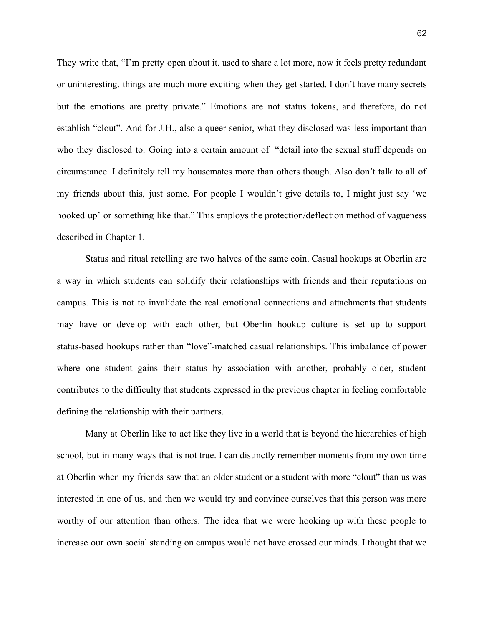They write that, "I'm pretty open about it. used to share a lot more, now it feels pretty redundant or uninteresting. things are much more exciting when they get started. I don't have many secrets but the emotions are pretty private." Emotions are not status tokens, and therefore, do not establish "clout". And for J.H., also a queer senior, what they disclosed was less important than who they disclosed to. Going into a certain amount of "detail into the sexual stuff depends on circumstance. I definitely tell my housemates more than others though. Also don't talk to all of my friends about this, just some. For people I wouldn't give details to, I might just say 'we hooked up' or something like that." This employs the protection/deflection method of vagueness described in Chapter 1.

Status and ritual retelling are two halves of the same coin. Casual hookups at Oberlin are a way in which students can solidify their relationships with friends and their reputations on campus. This is not to invalidate the real emotional connections and attachments that students may have or develop with each other, but Oberlin hookup culture is set up to support status-based hookups rather than "love"-matched casual relationships. This imbalance of power where one student gains their status by association with another, probably older, student contributes to the difficulty that students expressed in the previous chapter in feeling comfortable defining the relationship with their partners.

Many at Oberlin like to act like they live in a world that is beyond the hierarchies of high school, but in many ways that is not true. I can distinctly remember moments from my own time at Oberlin when my friends saw that an older student or a student with more "clout" than us was interested in one of us, and then we would try and convince ourselves that this person was more worthy of our attention than others. The idea that we were hooking up with these people to increase our own social standing on campus would not have crossed our minds. I thought that we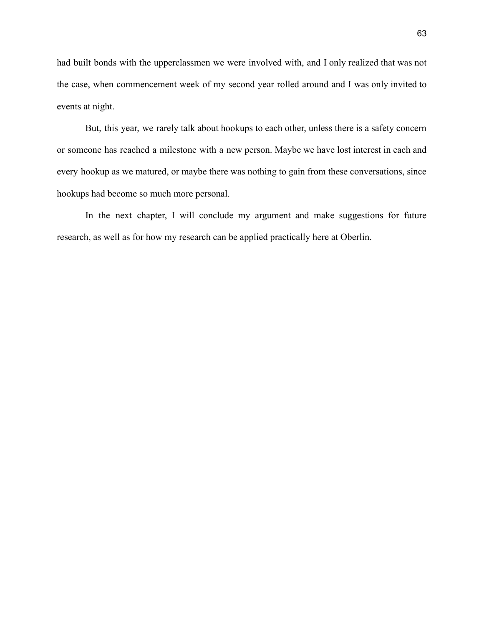had built bonds with the upperclassmen we were involved with, and I only realized that was not the case, when commencement week of my second year rolled around and I was only invited to events at night.

But, this year, we rarely talk about hookups to each other, unless there is a safety concern or someone has reached a milestone with a new person. Maybe we have lost interest in each and every hookup as we matured, or maybe there was nothing to gain from these conversations, since hookups had become so much more personal.

In the next chapter, I will conclude my argument and make suggestions for future research, as well as for how my research can be applied practically here at Oberlin.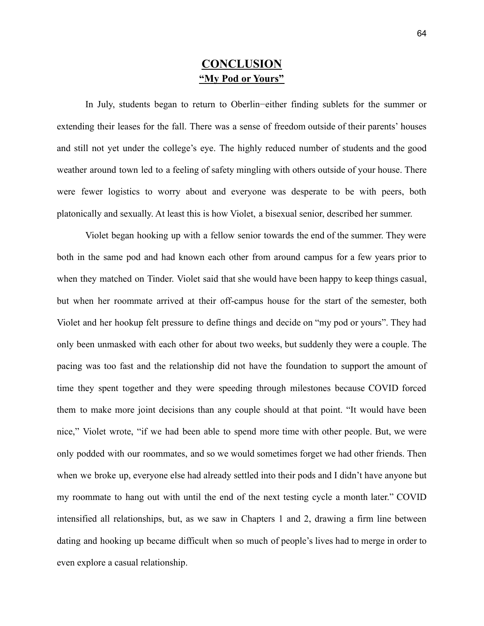## **CONCLUSION "My Pod or Yours"**

In July, students began to return to Oberlin−either finding sublets for the summer or extending their leases for the fall. There was a sense of freedom outside of their parents' houses and still not yet under the college's eye. The highly reduced number of students and the good weather around town led to a feeling of safety mingling with others outside of your house. There were fewer logistics to worry about and everyone was desperate to be with peers, both platonically and sexually. At least this is how Violet, a bisexual senior, described her summer.

Violet began hooking up with a fellow senior towards the end of the summer. They were both in the same pod and had known each other from around campus for a few years prior to when they matched on Tinder. Violet said that she would have been happy to keep things casual, but when her roommate arrived at their off-campus house for the start of the semester, both Violet and her hookup felt pressure to define things and decide on "my pod or yours". They had only been unmasked with each other for about two weeks, but suddenly they were a couple. The pacing was too fast and the relationship did not have the foundation to support the amount of time they spent together and they were speeding through milestones because COVID forced them to make more joint decisions than any couple should at that point. "It would have been nice," Violet wrote, "if we had been able to spend more time with other people. But, we were only podded with our roommates, and so we would sometimes forget we had other friends. Then when we broke up, everyone else had already settled into their pods and I didn't have anyone but my roommate to hang out with until the end of the next testing cycle a month later." COVID intensified all relationships, but, as we saw in Chapters 1 and 2, drawing a firm line between dating and hooking up became difficult when so much of people's lives had to merge in order to even explore a casual relationship.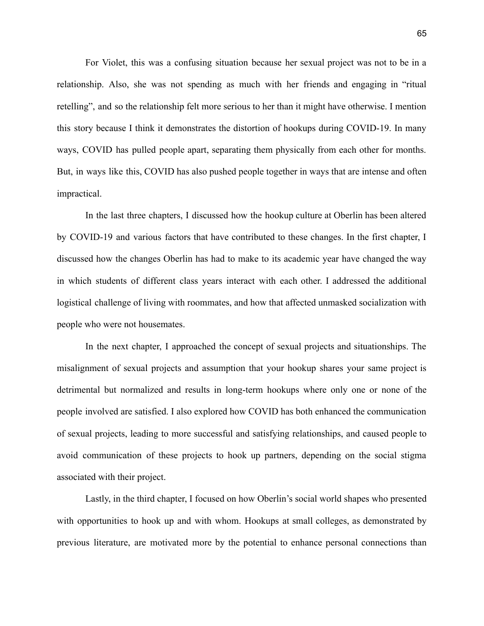For Violet, this was a confusing situation because her sexual project was not to be in a relationship. Also, she was not spending as much with her friends and engaging in "ritual retelling", and so the relationship felt more serious to her than it might have otherwise. I mention this story because I think it demonstrates the distortion of hookups during COVID-19. In many ways, COVID has pulled people apart, separating them physically from each other for months. But, in ways like this, COVID has also pushed people together in ways that are intense and often impractical.

In the last three chapters, I discussed how the hookup culture at Oberlin has been altered by COVID-19 and various factors that have contributed to these changes. In the first chapter, I discussed how the changes Oberlin has had to make to its academic year have changed the way in which students of different class years interact with each other. I addressed the additional logistical challenge of living with roommates, and how that affected unmasked socialization with people who were not housemates.

In the next chapter, I approached the concept of sexual projects and situationships. The misalignment of sexual projects and assumption that your hookup shares your same project is detrimental but normalized and results in long-term hookups where only one or none of the people involved are satisfied. I also explored how COVID has both enhanced the communication of sexual projects, leading to more successful and satisfying relationships, and caused people to avoid communication of these projects to hook up partners, depending on the social stigma associated with their project.

Lastly, in the third chapter, I focused on how Oberlin's social world shapes who presented with opportunities to hook up and with whom. Hookups at small colleges, as demonstrated by previous literature, are motivated more by the potential to enhance personal connections than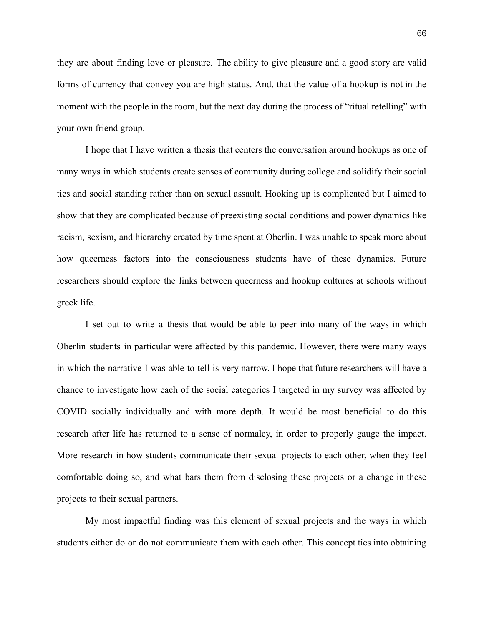they are about finding love or pleasure. The ability to give pleasure and a good story are valid forms of currency that convey you are high status. And, that the value of a hookup is not in the moment with the people in the room, but the next day during the process of "ritual retelling" with your own friend group.

I hope that I have written a thesis that centers the conversation around hookups as one of many ways in which students create senses of community during college and solidify their social ties and social standing rather than on sexual assault. Hooking up is complicated but I aimed to show that they are complicated because of preexisting social conditions and power dynamics like racism, sexism, and hierarchy created by time spent at Oberlin. I was unable to speak more about how queerness factors into the consciousness students have of these dynamics. Future researchers should explore the links between queerness and hookup cultures at schools without greek life.

I set out to write a thesis that would be able to peer into many of the ways in which Oberlin students in particular were affected by this pandemic. However, there were many ways in which the narrative I was able to tell is very narrow. I hope that future researchers will have a chance to investigate how each of the social categories I targeted in my survey was affected by COVID socially individually and with more depth. It would be most beneficial to do this research after life has returned to a sense of normalcy, in order to properly gauge the impact. More research in how students communicate their sexual projects to each other, when they feel comfortable doing so, and what bars them from disclosing these projects or a change in these projects to their sexual partners.

My most impactful finding was this element of sexual projects and the ways in which students either do or do not communicate them with each other. This concept ties into obtaining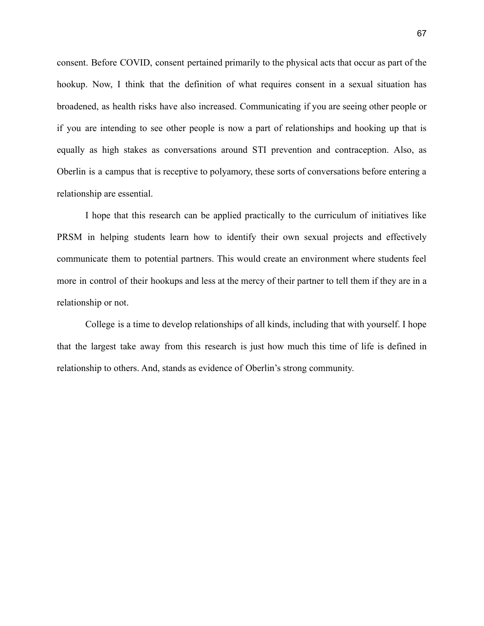consent. Before COVID, consent pertained primarily to the physical acts that occur as part of the hookup. Now, I think that the definition of what requires consent in a sexual situation has broadened, as health risks have also increased. Communicating if you are seeing other people or if you are intending to see other people is now a part of relationships and hooking up that is equally as high stakes as conversations around STI prevention and contraception. Also, as Oberlin is a campus that is receptive to polyamory, these sorts of conversations before entering a relationship are essential.

I hope that this research can be applied practically to the curriculum of initiatives like PRSM in helping students learn how to identify their own sexual projects and effectively communicate them to potential partners. This would create an environment where students feel more in control of their hookups and less at the mercy of their partner to tell them if they are in a relationship or not.

College is a time to develop relationships of all kinds, including that with yourself. I hope that the largest take away from this research is just how much this time of life is defined in relationship to others. And, stands as evidence of Oberlin's strong community.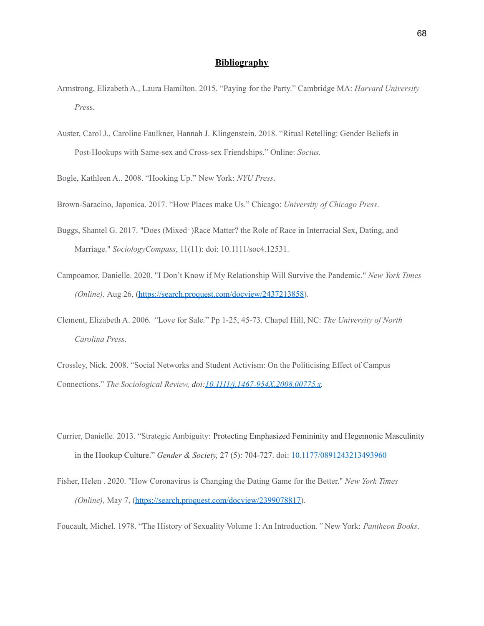#### **Bibliography**

- Armstrong, Elizabeth A., Laura Hamilton. 2015. "Paying for the Party." Cambridge MA: *Harvard University Pre*ss.
- Auster, Carol J., Caroline Faulkner, Hannah J. Klingenstein. 2018. "Ritual Retelling: Gender Beliefs in Post-Hookups with Same-sex and Cross-sex Friendships." Online: *Socius.*

Bogle, Kathleen A.. 2008. "Hooking Up." New York: *NYU Press*.

Brown-Saracino, Japonica. 2017. "How Places make Us*.*" Chicago: *University of Chicago Press*.

- Buggs, Shantel G. 2017. "Does (Mixed‐)Race Matter? the Role of Race in Interracial Sex, Dating, and Marriage." *SociologyCompass*, 11(11): doi: 10.1111/soc4.12531.
- Campoamor, Danielle. 2020. "I Don't Know if My Relationship Will Survive the Pandemic." *New York Times (Online),* Aug 26, [\(https://search.proquest.com/docview/2437213858\)](https://search.proquest.com/docview/2437213858).

Clement, Elizabeth A. 2006. *"*Love for Sale*.*" Pp 1-25, 45-73. Chapel Hill, NC: *The University of North Carolina Press*.

Crossley, Nick. 2008. "Social Networks and Student Activism: On the Politicising Effect of Campus Connections." *The Sociological Review, doi:[10.1111/j.1467-954X.2008.00775.x](https://doi.org/10.1111/j.1467-954X.2008.00775.x).*

- Currier, Danielle. 2013. "Strategic Ambiguity: Protecting Emphasized Femininity and Hegemonic Masculinity in the Hookup Culture." *Gender & Society,* 27 (5): 704-727. doi: [10.1177/0891243213493960](https://doi.org/10.1177%2F0891243213493960)
- Fisher, Helen . 2020. "How Coronavirus is Changing the Dating Game for the Better." *New York Times (Online),* May 7, [\(https://search.proquest.com/docview/2399078817\)](https://search.proquest.com/docview/2399078817).

Foucault, Michel. 1978. "The History of Sexuality Volume 1: An Introduction*."* New York: *Pantheon Books*.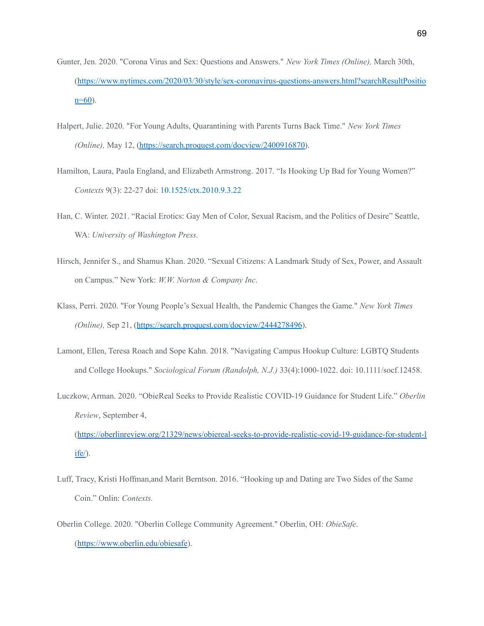- Gunter, Jen. 2020. "Corona Virus and Sex: Questions and Answers." *New York Times (Online),* March 30th, ([https://www.nytimes.com/2020/03/30/style/sex-coronavirus-questions-answers.html?searchResultPositio](https://www.nytimes.com/2020/03/30/style/sex-coronavirus-questions-answers.html?searchResultPosition=60)  $n=60$ ).
- Halpert, Julie. 2020. "For Young Adults, Quarantining with Parents Turns Back Time." *New York Times (Online),* May 12, [\(https://search.proquest.com/docview/2400916870\)](https://search.proquest.com/docview/2400916870).
- Hamilton, Laura, Paula England, and Elizabeth Armstrong. 2017. "Is Hooking Up Bad for Young Women?" *Contexts* 9(3): 22-27 doi: [10.1525/ctx.2010.9.3.22](https://doi.org/10.1525%2Fctx.2010.9.3.22)
- Han, C. Winter. 2021. "Racial Erotics: Gay Men of Color, Sexual Racism, and the Politics of Desire" Seattle, WA: *University of Washington Press.*
- Hirsch, Jennifer S., and Shamus Khan. 2020. "Sexual Citizens: A Landmark Study of Sex, Power, and Assault on Campus." New York: *W.W. Norton & Company Inc*.
- Klass, Perri. 2020. "For Young People's Sexual Health, the Pandemic Changes the Game." *New York Times (Online),* Sep 21, (<https://search.proquest.com/docview/2444278496>).
- Lamont, Ellen, Teresa Roach and Sope Kahn. 2018. "Navigating Campus Hookup Culture: LGBTQ Students and College Hookups." *Sociological Forum (Randolph, N.J.)* 33(4):1000-1022. doi: 10.1111/socf.12458.
- Luczkow, Arman. 2020. "ObieReal Seeks to Provide Realistic COVID-19 Guidance for Student Life." *Oberlin Review*, September 4,

([https://oberlinreview.org/21329/news/obiereal-seeks-to-provide-realistic-covid-19-guidance-for-student-l](https://oberlinreview.org/21329/news/obiereal-seeks-to-provide-realistic-covid-19-guidance-for-student-life/) [ife/](https://oberlinreview.org/21329/news/obiereal-seeks-to-provide-realistic-covid-19-guidance-for-student-life/)).

- Luff, Tracy, Kristi Hoffman,and Marit Berntson. 2016. "Hooking up and Dating are Two Sides of the Same Coin." Onlin: *Contexts.*
- Oberlin College. 2020. "Oberlin College Community Agreement." Oberlin, OH: *ObieSafe*. (<https://www.oberlin.edu/obiesafe>).